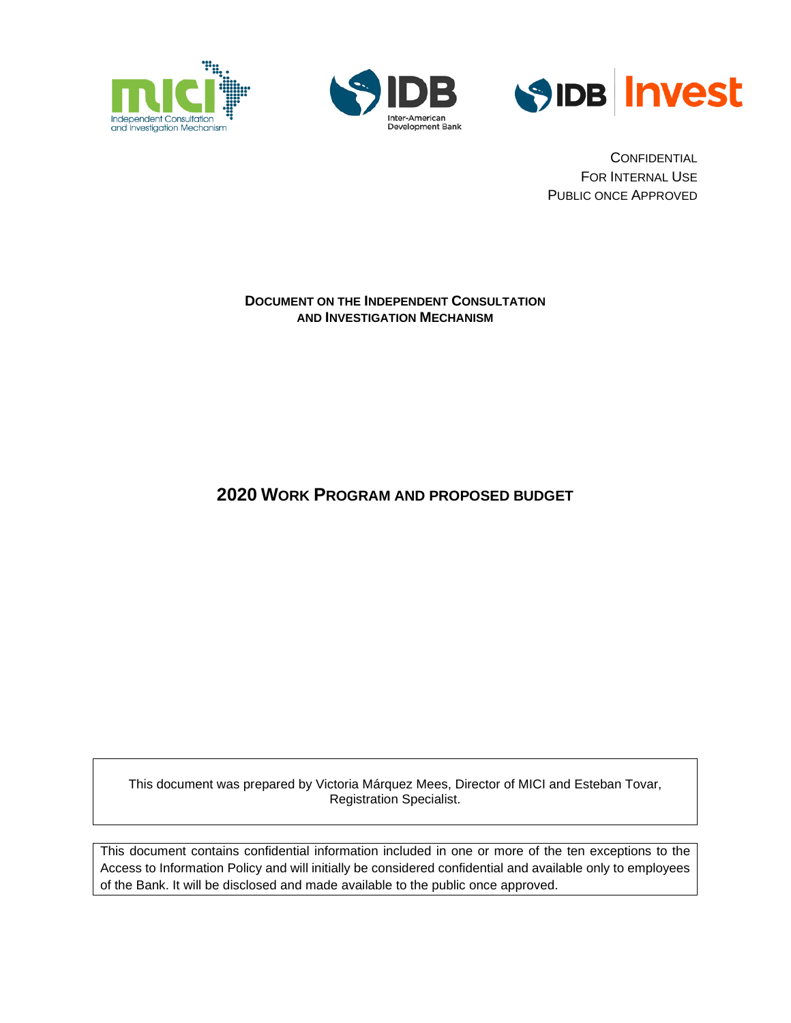





**CONFIDENTIAL** FOR INTERNAL USE PUBLIC ONCE APPROVED

#### **DOCUMENT ON THE INDEPENDENT CONSULTATION AND INVESTIGATION MECHANISM**

**2020 WORK PROGRAM AND PROPOSED BUDGET**

This document was prepared by Victoria Márquez Mees, Director of MICI and Esteban Tovar, Registration Specialist.

This document contains confidential information included in one or more of the ten exceptions to the Access to Information Policy and will initially be considered confidential and available only to employees of the Bank. It will be disclosed and made available to the public once approved.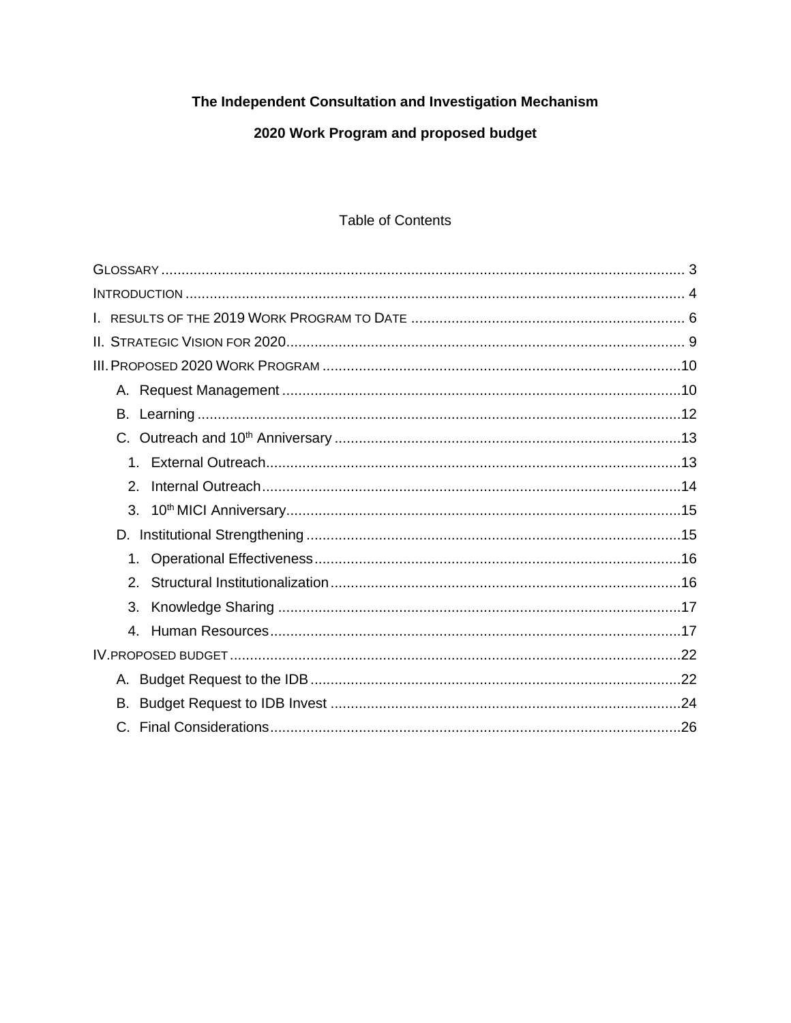# The Independent Consultation and Investigation Mechanism

# 2020 Work Program and proposed budget

## **Table of Contents**

| $1_{-}$                     |
|-----------------------------|
| $\mathcal{P}_{\mathcal{C}}$ |
| 3.                          |
|                             |
| $1_{-}$                     |
| $\mathcal{P}_{\mathcal{C}}$ |
| 3.                          |
| $\mathbf{4}_{\cdot}$        |
|                             |
|                             |
|                             |
|                             |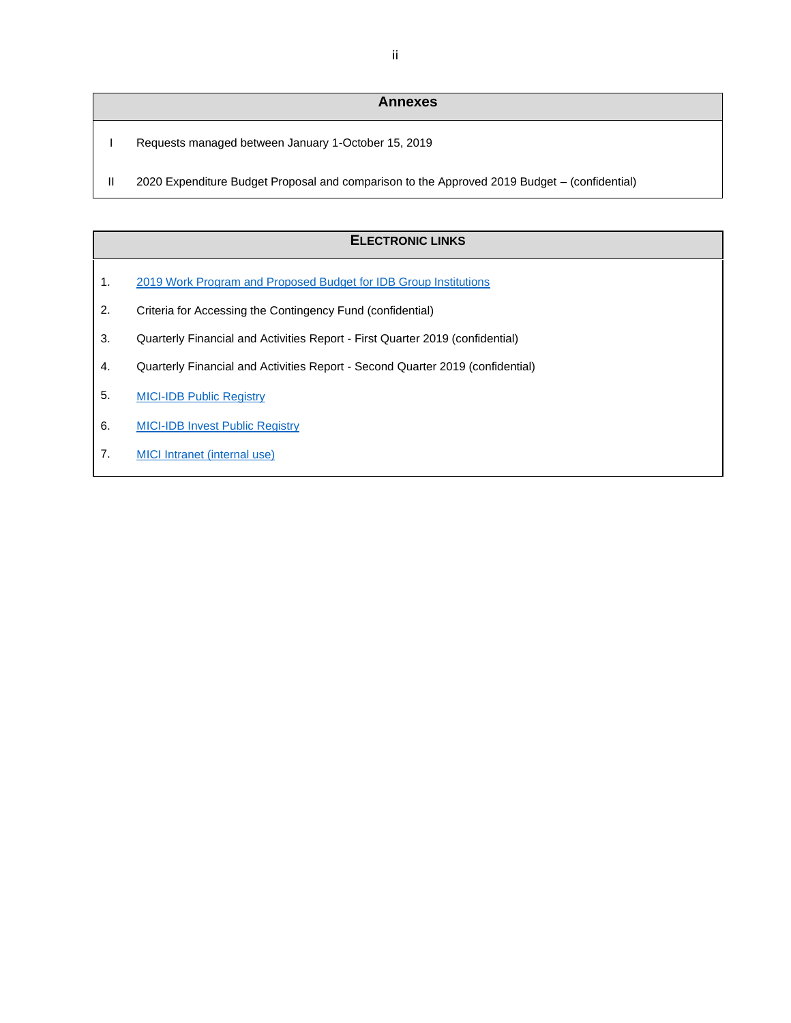#### **Annexes**

- I Requests managed between January 1-October 15, 2019
- II 2020 Expenditure Budget Proposal and comparison to the Approved 2019 Budget (confidential)

#### **ELECTRONIC LINKS**

- 1. [2019 Work Program and Proposed Budget for IDB Group Institutions](http://www.iadb.org/document.cfm?id=EZSHARE-525549286-327)
- 2. Criteria for Accessing the Contingency Fund (confidential)
- 3. Quarterly Financial and Activities Report First Quarter 2019 (confidential)
- 4. Quarterly Financial and Activities Report Second Quarter 2019 (confidential)
- 5. [MICI-IDB Public Registry](https://www.iadb.org/en/mici/idb-public-registry-chronological)
- 6. [MICI-IDB Invest Public Registry](https://www.iadb.org/en/mici/idb-invest-public-registry-chronological)
- 7. [MICI Intranet](https://idbg.sharepoint.com/sites/mici-es/) (internal use)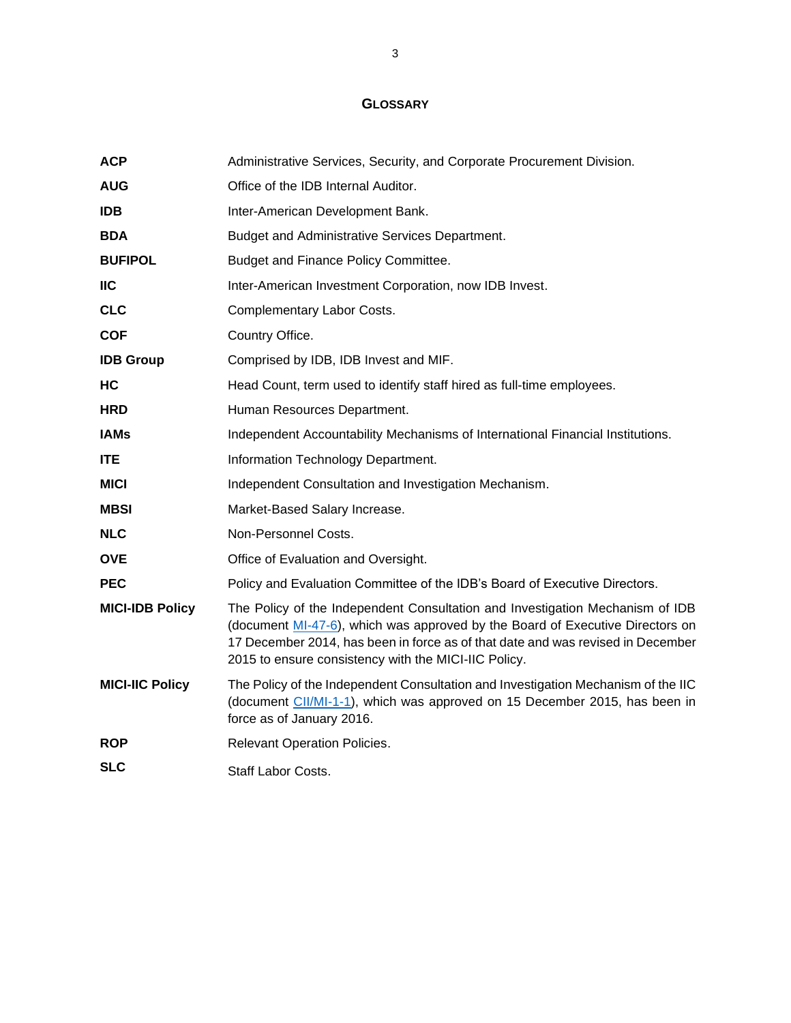## **GLOSSARY**

<span id="page-3-0"></span>

| <b>ACP</b>             | Administrative Services, Security, and Corporate Procurement Division.                                                                                                                                                                                                                                    |
|------------------------|-----------------------------------------------------------------------------------------------------------------------------------------------------------------------------------------------------------------------------------------------------------------------------------------------------------|
| <b>AUG</b>             | Office of the IDB Internal Auditor.                                                                                                                                                                                                                                                                       |
| <b>IDB</b>             | Inter-American Development Bank.                                                                                                                                                                                                                                                                          |
| <b>BDA</b>             | Budget and Administrative Services Department.                                                                                                                                                                                                                                                            |
| <b>BUFIPOL</b>         | Budget and Finance Policy Committee.                                                                                                                                                                                                                                                                      |
| <b>IIC</b>             | Inter-American Investment Corporation, now IDB Invest.                                                                                                                                                                                                                                                    |
| <b>CLC</b>             | Complementary Labor Costs.                                                                                                                                                                                                                                                                                |
| <b>COF</b>             | Country Office.                                                                                                                                                                                                                                                                                           |
| <b>IDB Group</b>       | Comprised by IDB, IDB Invest and MIF.                                                                                                                                                                                                                                                                     |
| HC                     | Head Count, term used to identify staff hired as full-time employees.                                                                                                                                                                                                                                     |
| <b>HRD</b>             | Human Resources Department.                                                                                                                                                                                                                                                                               |
| <b>IAMs</b>            | Independent Accountability Mechanisms of International Financial Institutions.                                                                                                                                                                                                                            |
| <b>ITE</b>             | Information Technology Department.                                                                                                                                                                                                                                                                        |
| <b>MICI</b>            | Independent Consultation and Investigation Mechanism.                                                                                                                                                                                                                                                     |
| <b>MBSI</b>            | Market-Based Salary Increase.                                                                                                                                                                                                                                                                             |
| <b>NLC</b>             | Non-Personnel Costs.                                                                                                                                                                                                                                                                                      |
| <b>OVE</b>             | Office of Evaluation and Oversight.                                                                                                                                                                                                                                                                       |
| <b>PEC</b>             | Policy and Evaluation Committee of the IDB's Board of Executive Directors.                                                                                                                                                                                                                                |
| <b>MICI-IDB Policy</b> | The Policy of the Independent Consultation and Investigation Mechanism of IDB<br>(document MI-47-6), which was approved by the Board of Executive Directors on<br>17 December 2014, has been in force as of that date and was revised in December<br>2015 to ensure consistency with the MICI-IIC Policy. |
| <b>MICI-IIC Policy</b> | The Policy of the Independent Consultation and Investigation Mechanism of the IIC<br>(document CII/MI-1-1), which was approved on 15 December 2015, has been in<br>force as of January 2016.                                                                                                              |
| <b>ROP</b>             | Relevant Operation Policies.                                                                                                                                                                                                                                                                              |
| <b>SLC</b>             | Staff Labor Costs.                                                                                                                                                                                                                                                                                        |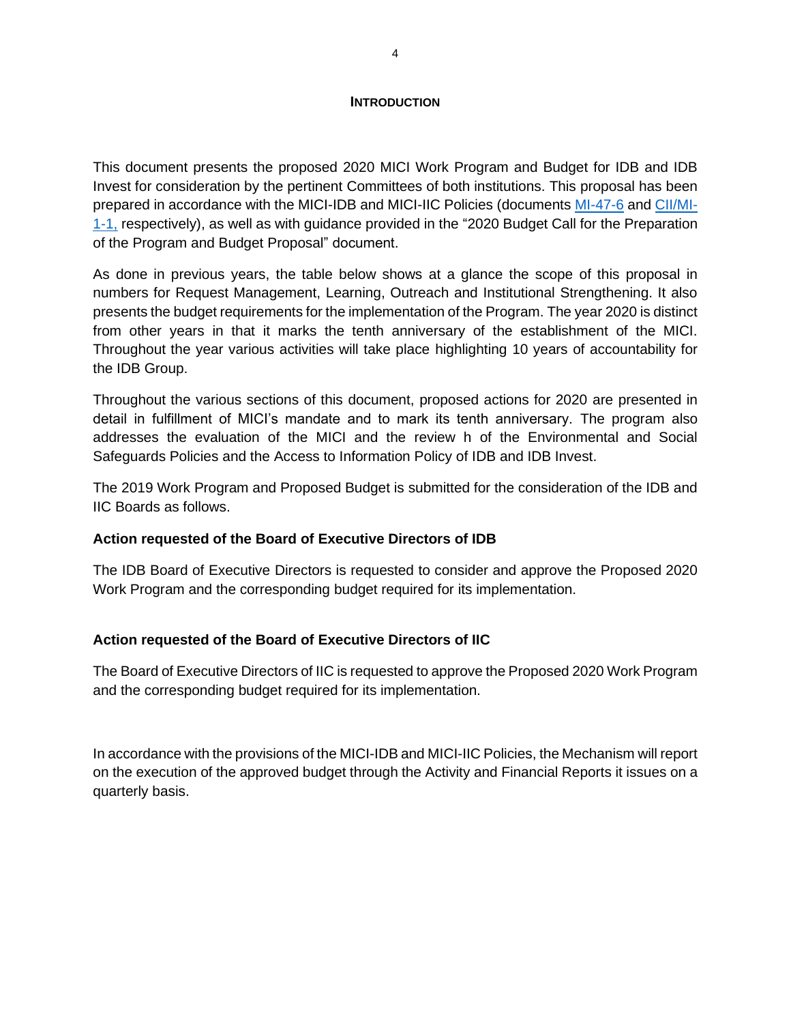#### **INTRODUCTION**

<span id="page-4-0"></span>This document presents the proposed 2020 MICI Work Program and Budget for IDB and IDB Invest for consideration by the pertinent Committees of both institutions. This proposal has been prepared in accordance with the MICI-IDB and MICI-IIC Policies (documents [MI-47-6](http://idbdocs.iadb.org/wsdocs/getdocument.aspx?docnum=40792853) and [CII/MI-](http://idbdocs.iadb.org/wsdocs/getdocument.aspx?docnum=40151002)[1-1,](http://idbdocs.iadb.org/wsdocs/getdocument.aspx?docnum=40151002) respectively), as well as with guidance provided in the "2020 Budget Call for the Preparation of the Program and Budget Proposal" document.

As done in previous years, the table below shows at a glance the scope of this proposal in numbers for Request Management, Learning, Outreach and Institutional Strengthening. It also presents the budget requirements for the implementation of the Program. The year 2020 is distinct from other years in that it marks the tenth anniversary of the establishment of the MICI. Throughout the year various activities will take place highlighting 10 years of accountability for the IDB Group.

Throughout the various sections of this document, proposed actions for 2020 are presented in detail in fulfillment of MICI's mandate and to mark its tenth anniversary. The program also addresses the evaluation of the MICI and the review h of the Environmental and Social Safeguards Policies and the Access to Information Policy of IDB and IDB Invest.

The 2019 Work Program and Proposed Budget is submitted for the consideration of the IDB and IIC Boards as follows.

### **Action requested of the Board of Executive Directors of IDB**

The IDB Board of Executive Directors is requested to consider and approve the Proposed 2020 Work Program and the corresponding budget required for its implementation.

### **Action requested of the Board of Executive Directors of IIC**

The Board of Executive Directors of IIC is requested to approve the Proposed 2020 Work Program and the corresponding budget required for its implementation.

In accordance with the provisions of the MICI-IDB and MICI-IIC Policies, the Mechanism will report on the execution of the approved budget through the Activity and Financial Reports it issues on a quarterly basis.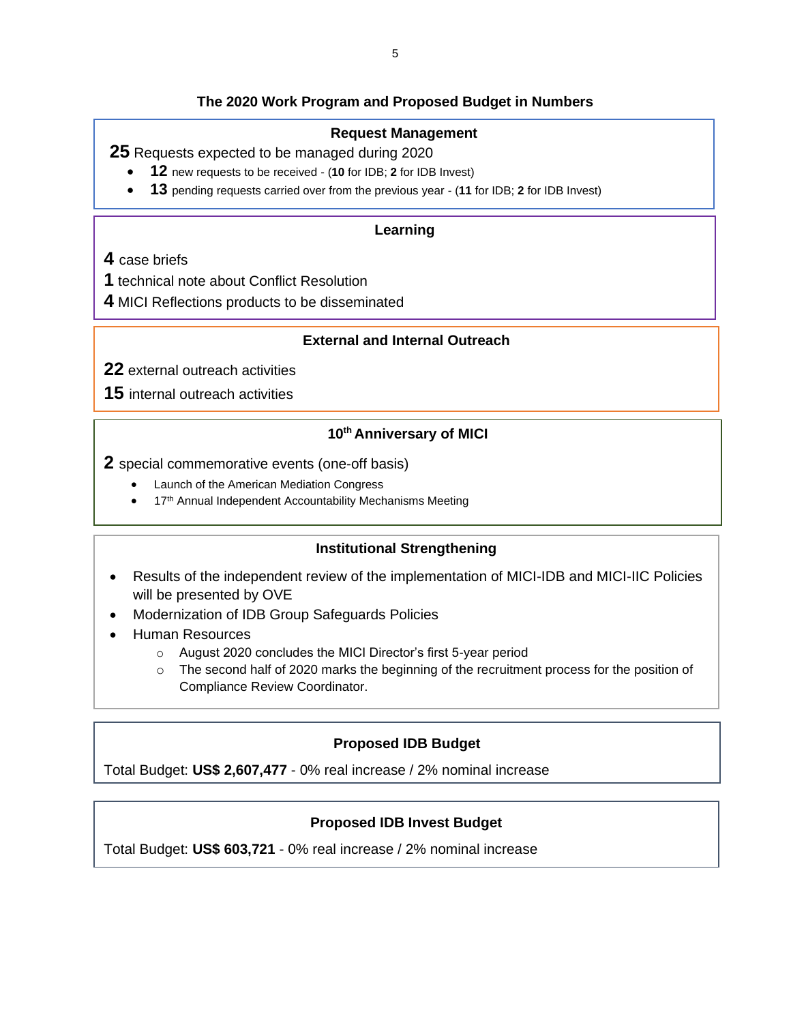## **The 2020 Work Program and Proposed Budget in Numbers**

#### **Request Management**

**25** Requests expected to be managed during 2020

- **12** new requests to be received (**10** for IDB; **2** for IDB Invest)
- **13** pending requests carried over from the previous year (**11** for IDB; **2** for IDB Invest)

#### **Learning**

**4** case briefs

- **1** technical note about Conflict Resolution
- **4** MICI Reflections products to be disseminated

### **External and Internal Outreach**

**22** external outreach activities

**15** internal outreach activities

# **10th Anniversary of MICI**

**2** special commemorative events (one-off basis)

- Launch of the American Mediation Congress
- 17<sup>th</sup> Annual Independent Accountability Mechanisms Meeting

### **Institutional Strengthening**

- Results of the independent review of the implementation of MICI-IDB and MICI-IIC Policies will be presented by OVE
- Modernization of IDB Group Safeguards Policies
- Human Resources
	- o August 2020 concludes the MICI Director's first 5-year period
	- $\circ$  The second half of 2020 marks the beginning of the recruitment process for the position of Compliance Review Coordinator.

### **Proposed IDB Budget**

Total Budget: **US\$ 2,607,477** - 0% real increase / 2% nominal increase

## **Proposed IDB Invest Budget**

Total Budget: **US\$ 603,721** - 0% real increase / 2% nominal increase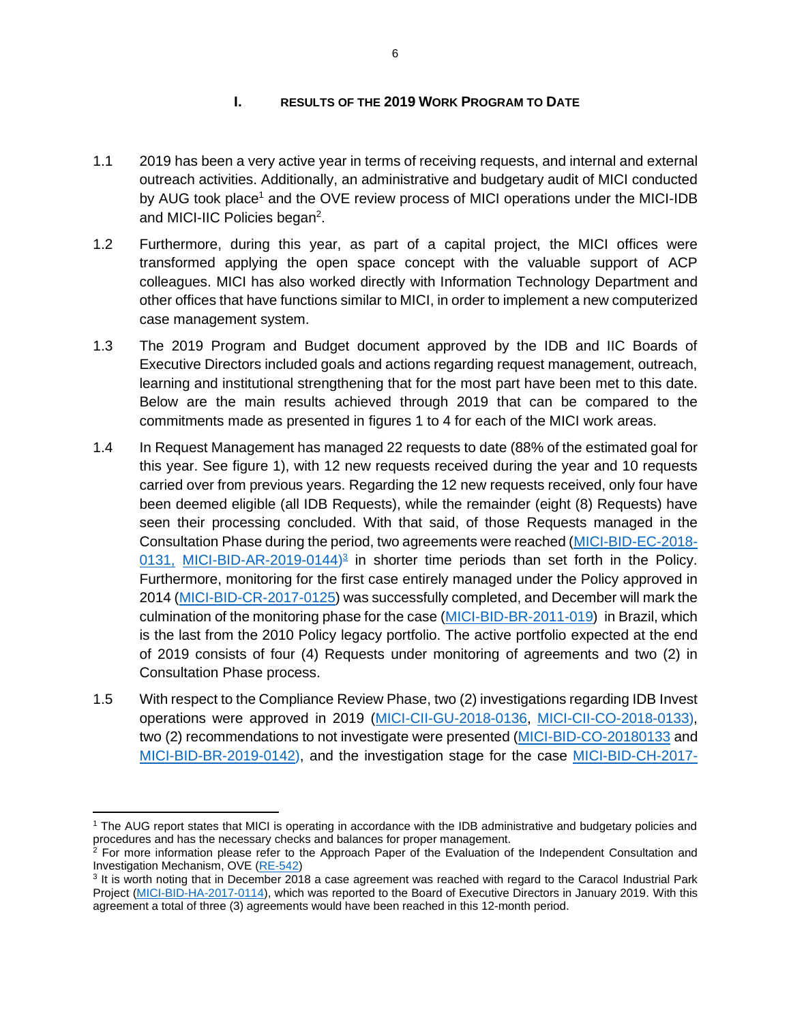#### **I. RESULTS OF THE 2019 WORK PROGRAM TO DATE**

- <span id="page-6-0"></span>1.1 2019 has been a very active year in terms of receiving requests, and internal and external outreach activities. Additionally, an administrative and budgetary audit of MICI conducted by AUG took place<sup>1</sup> and the OVE review process of MICI operations under the MICI-IDB and MICI-IIC Policies began<sup>2</sup>.
- 1.2 Furthermore, during this year, as part of a capital project, the MICI offices were transformed applying the open space concept with the valuable support of ACP colleagues. MICI has also worked directly with Information Technology Department and other offices that have functions similar to MICI, in order to implement a new computerized case management system.
- 1.3 The 2019 Program and Budget document approved by the IDB and IIC Boards of Executive Directors included goals and actions regarding request management, outreach, learning and institutional strengthening that for the most part have been met to this date. Below are the main results achieved through 2019 that can be compared to the commitments made as presented in figures 1 to 4 for each of the MICI work areas.
- 1.4 In Request Management has managed 22 requests to date (88% of the estimated goal for this year. See figure 1), with 12 new requests received during the year and 10 requests carried over from previous years. Regarding the 12 new requests received, only four have been deemed eligible (all IDB Requests), while the remainder (eight (8) Requests) have seen their processing concluded. With that said, of those Requests managed in the Consultation Phase during the period, two agreements were reached [\(MICI-BID-EC-2018-](https://www.iadb.org/en/mici/complaint-detail?ID=MICI-BID-EC-2018-0131)  $0131$ , [MICI-BID-AR-2019-0144\)](https://www.iadb.org/en/mici/complaint-detail?ID=MICI-BID-AR-2019-0144)<sup>3</sup> in shorter time periods than set forth in the Policy. Furthermore, monitoring for the first case entirely managed under the Policy approved in 2014 [\(MICI-BID-CR-2017-0125\)](https://www.iadb.org/en/mici/complaint-detail?ID=MICI-BID-CR-2017-0125) was successfully completed, and December will mark the culmination of the monitoring phase for the case [\(MICI-BID-BR-2011-019\)](https://www.iadb.org/en/mici/complaint-detail-2014?ID=MICI-BR-2011-019%20&nid=24684) in Brazil, which is the last from the 2010 Policy legacy portfolio. The active portfolio expected at the end of 2019 consists of four (4) Requests under monitoring of agreements and two (2) in Consultation Phase process.
- 1.5 With respect to the Compliance Review Phase, two (2) investigations regarding IDB Invest operations were approved in 2019 [\(MICI-CII-GU-2018-0136,](https://www.iadb.org/en/mici/request-detail-iic?ID=MICI-CII-GU-2018-0136&nid=23508) [MICI-CII-CO-2018-0133\)](https://www.iadb.org/en/mici/request-detail-iic?ID=MICI-CII-CO-2018-0133&nid=23506), two (2) recommendations to not investigate were presented [\(MICI-BID-CO-20180133](https://www.iadb.org/en/mici/request-detail-iic?ID=MICI-CII-CO-2018-0133&nid=23506) and [MICI-BID-BR-2019-0142\)](https://www.iadb.org/en/mici/complaint-detail?ID=MICI-BID-BR-2019-0142), and the investigation stage for the case [MICI-BID-CH-2017-](https://www.iadb.org/en/mici/complaint-detail?ID=MICI-BID-CH-2017-0115)

<sup>1</sup> The AUG report states that MICI is operating in accordance with the IDB administrative and budgetary policies and procedures and has the necessary checks and balances for proper management.

<sup>&</sup>lt;sup>2</sup> For more information please refer to the Approach Paper of the Evaluation of the Independent Consultation and Investigation Mechanism, OVE [\(RE-542\)](http://idbdocs.iadb.org/wsdocs/getdocument.aspx?docnum=EZSHARE-189869251-1656)

<sup>&</sup>lt;sup>3</sup> It is worth noting that in December 2018 a case agreement was reached with regard to the Caracol Industrial Park Project [\(MICI-BID-HA-2017-0114\)](https://www.iadb.org/en/mici/complaint-detail?ID=MICI-BID-HA-2017-0114), which was reported to the Board of Executive Directors in January 2019. With this agreement a total of three (3) agreements would have been reached in this 12-month period.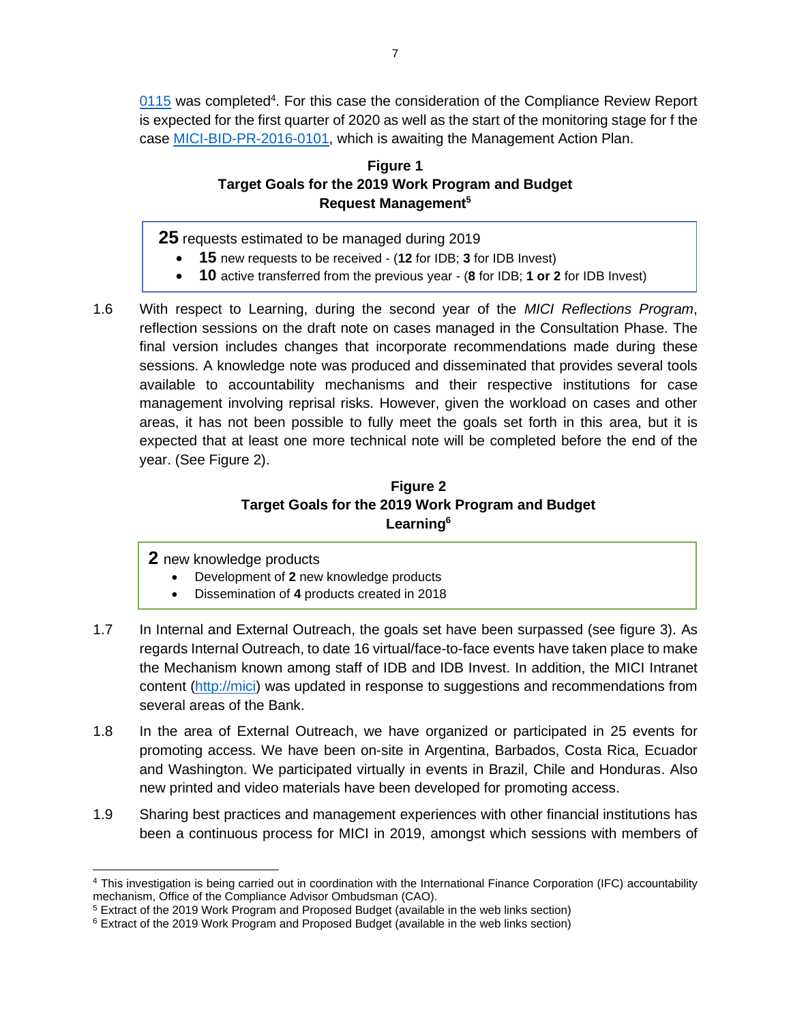[0115](https://www.iadb.org/en/mici/complaint-detail?ID=MICI-BID-CH-2017-0115) was completed<sup>4</sup>. For this case the consideration of the Compliance Review Report is expected for the first quarter of 2020 as well as the start of the monitoring stage for f the case [MICI-BID-PR-2016-0101,](https://www.iadb.org/en/mici/complaint-detail?ID=MICI-BID-PR-2016-0101) which is awaiting the Management Action Plan.

## **Figure 1 Target Goals for the 2019 Work Program and Budget Request Management<sup>5</sup>**

**25** requests estimated to be managed during 2019

- **15** new requests to be received (**12** for IDB; **3** for IDB Invest)
- **10** active transferred from the previous year (**8** for IDB; **1 or 2** for IDB Invest)
- 1.6 With respect to Learning, during the second year of the *MICI Reflections Program*, reflection sessions on the draft note on cases managed in the Consultation Phase. The final version includes changes that incorporate recommendations made during these sessions. A knowledge note was produced and disseminated that provides several tools available to accountability mechanisms and their respective institutions for case management involving reprisal risks. However, given the workload on cases and other areas, it has not been possible to fully meet the goals set forth in this area, but it is expected that at least one more technical note will be completed before the end of the year. (See Figure 2).

# **Figure 2 Target Goals for the 2019 Work Program and Budget Learning<sup>6</sup>**

**2** new knowledge products

- Development of **2** new knowledge products
- Dissemination of **4** products created in 2018
- 1.7 In Internal and External Outreach, the goals set have been surpassed (see figure 3). As regards Internal Outreach, to date 16 virtual/face-to-face events have taken place to make the Mechanism known among staff of IDB and IDB Invest. In addition, the MICI Intranet content [\(http://mici\)](http://mici/) was updated in response to suggestions and recommendations from several areas of the Bank.
- 1.8 In the area of External Outreach, we have organized or participated in 25 events for promoting access. We have been on-site in Argentina, Barbados, Costa Rica, Ecuador and Washington. We participated virtually in events in Brazil, Chile and Honduras. Also new printed and video materials have been developed for promoting access.
- 1.9 Sharing best practices and management experiences with other financial institutions has been a continuous process for MICI in 2019, amongst which sessions with members of

<sup>4</sup> This investigation is being carried out in coordination with the International Finance Corporation (IFC) accountability mechanism, Office of the Compliance Advisor Ombudsman (CAO).

<sup>5</sup> Extract of the 2019 Work Program and Proposed Budget (available in the web links section)

<sup>6</sup> Extract of the 2019 Work Program and Proposed Budget (available in the web links section)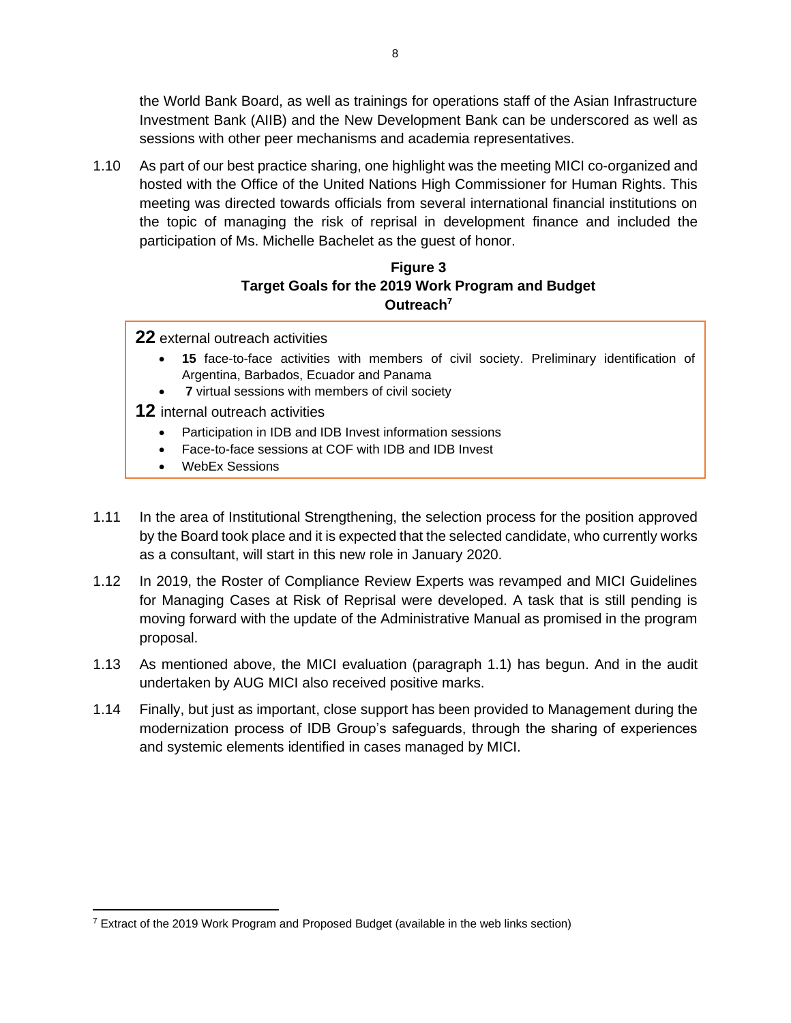the World Bank Board, as well as trainings for operations staff of the Asian Infrastructure Investment Bank (AIIB) and the New Development Bank can be underscored as well as sessions with other peer mechanisms and academia representatives.

1.10 As part of our best practice sharing, one highlight was the meeting MICI co-organized and hosted with the Office of the United Nations High Commissioner for Human Rights. This meeting was directed towards officials from several international financial institutions on the topic of managing the risk of reprisal in development finance and included the participation of Ms. Michelle Bachelet as the guest of honor.

## **Figure 3 Target Goals for the 2019 Work Program and Budget Outreach<sup>7</sup>**

**22** external outreach activities

- **15** face-to-face activities with members of civil society. Preliminary identification of Argentina, Barbados, Ecuador and Panama
- **7** virtual sessions with members of civil society
- **12** internal outreach activities
	- Participation in IDB and IDB Invest information sessions
	- Face-to-face sessions at COF with IDB and IDB Invest
	- WebEx Sessions
- 1.11 In the area of Institutional Strengthening, the selection process for the position approved by the Board took place and it is expected that the selected candidate, who currently works as a consultant, will start in this new role in January 2020.
- 1.12 In 2019, the Roster of Compliance Review Experts was revamped and MICI Guidelines for Managing Cases at Risk of Reprisal were developed. A task that is still pending is moving forward with the update of the Administrative Manual as promised in the program proposal.
- 1.13 As mentioned above, the MICI evaluation (paragraph 1.1) has begun. And in the audit undertaken by AUG MICI also received positive marks.
- 1.14 Finally, but just as important, close support has been provided to Management during the modernization process of IDB Group's safeguards, through the sharing of experiences and systemic elements identified in cases managed by MICI.

<sup>7</sup> Extract of the 2019 Work Program and Proposed Budget (available in the web links section)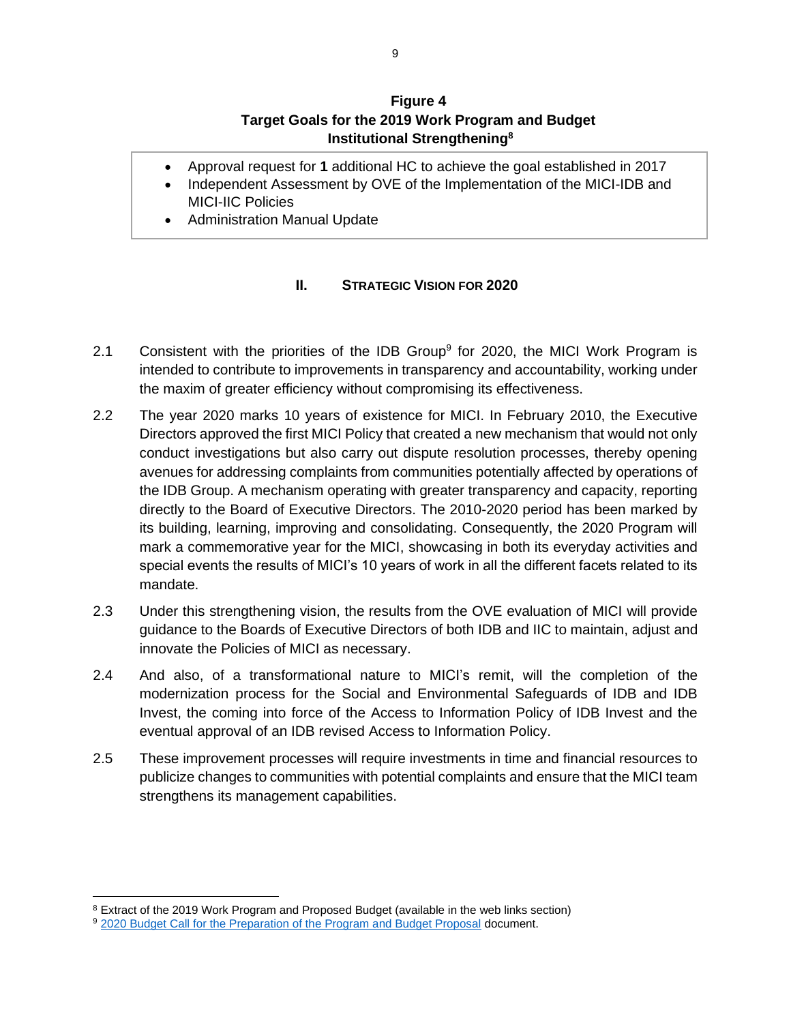## **Figure 4 Target Goals for the 2019 Work Program and Budget Institutional Strengthening<sup>8</sup>**

- <span id="page-9-0"></span>• Approval request for **1** additional HC to achieve the goal established in 2017
- Independent Assessment by OVE of the Implementation of the MICI-IDB and MICI-IIC Policies
- Administration Manual Update

## **II. STRATEGIC VISION FOR 2020**

- 2.1 Consistent with the priorities of the IDB Group<sup>9</sup> for 2020, the MICI Work Program is intended to contribute to improvements in transparency and accountability, working under the maxim of greater efficiency without compromising its effectiveness.
- 2.2 The year 2020 marks 10 years of existence for MICI. In February 2010, the Executive Directors approved the first MICI Policy that created a new mechanism that would not only conduct investigations but also carry out dispute resolution processes, thereby opening avenues for addressing complaints from communities potentially affected by operations of the IDB Group. A mechanism operating with greater transparency and capacity, reporting directly to the Board of Executive Directors. The 2010-2020 period has been marked by its building, learning, improving and consolidating. Consequently, the 2020 Program will mark a commemorative year for the MICI, showcasing in both its everyday activities and special events the results of MICI's 10 years of work in all the different facets related to its mandate.
- 2.3 Under this strengthening vision, the results from the OVE evaluation of MICI will provide guidance to the Boards of Executive Directors of both IDB and IIC to maintain, adjust and innovate the Policies of MICI as necessary.
- 2.4 And also, of a transformational nature to MICI's remit, will the completion of the modernization process for the Social and Environmental Safeguards of IDB and IDB Invest, the coming into force of the Access to Information Policy of IDB Invest and the eventual approval of an IDB revised Access to Information Policy.
- <span id="page-9-1"></span>2.5 These improvement processes will require investments in time and financial resources to publicize changes to communities with potential complaints and ensure that the MICI team strengthens its management capabilities.

<sup>&</sup>lt;sup>8</sup> Extract of the 2019 Work Program and Proposed Budget (available in the web links section)

<sup>&</sup>lt;sup>9</sup> [2020 Budget Call for the Preparation of the Program and Budget Proposal](https://idbg.sharepoint.com/teams/ez-MICI/admin/BudgetPlanningandExecution/Fiscal%20Year%202020/Planning%202020/2020%20Budget%20Call%20-%20Distributed%20to%20VPs%20and%20STC%20-%20FINAL.pdf) document.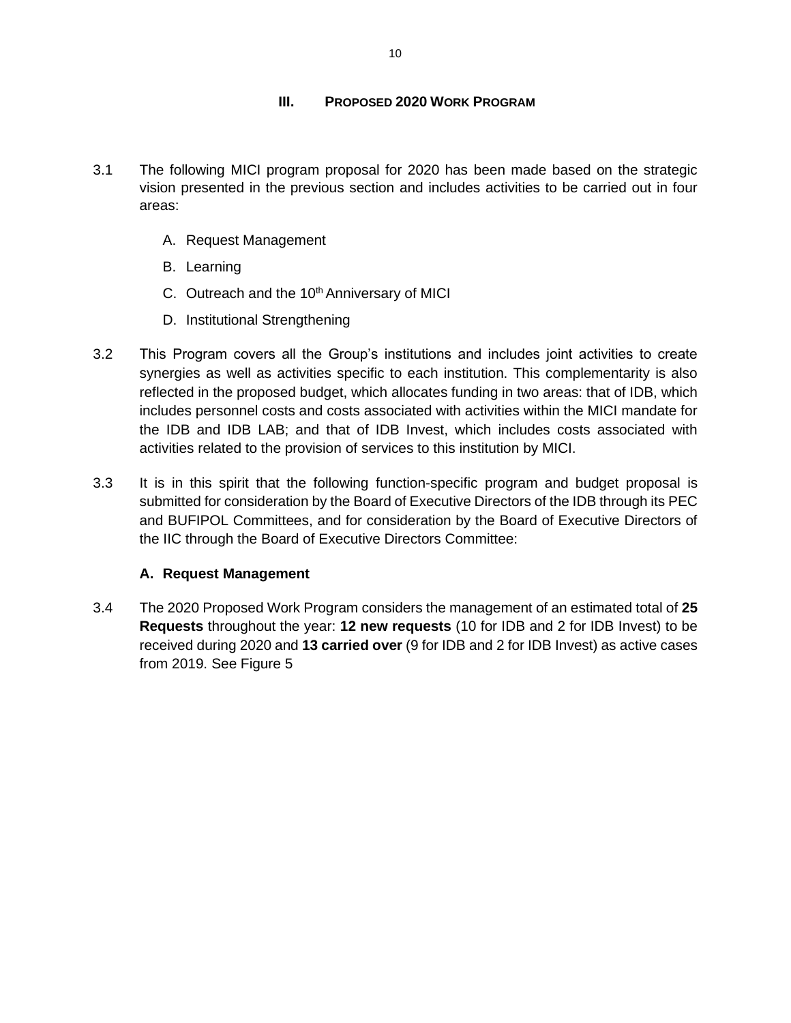## **III. PROPOSED 2020 WORK PROGRAM**

- 3.1 The following MICI program proposal for 2020 has been made based on the strategic vision presented in the previous section and includes activities to be carried out in four areas:
	- A. Request Management
	- B. Learning
	- C. Outreach and the 10<sup>th</sup> Anniversary of MICI
	- D. Institutional Strengthening
- 3.2 This Program covers all the Group's institutions and includes joint activities to create synergies as well as activities specific to each institution. This complementarity is also reflected in the proposed budget, which allocates funding in two areas: that of IDB, which includes personnel costs and costs associated with activities within the MICI mandate for the IDB and IDB LAB; and that of IDB Invest, which includes costs associated with activities related to the provision of services to this institution by MICI.
- 3.3 It is in this spirit that the following function-specific program and budget proposal is submitted for consideration by the Board of Executive Directors of the IDB through its PEC and BUFIPOL Committees, and for consideration by the Board of Executive Directors of the IIC through the Board of Executive Directors Committee:

## **A. Request Management**

<span id="page-10-0"></span>3.4 The 2020 Proposed Work Program considers the management of an estimated total of **25 Requests** throughout the year: **12 new requests** (10 for IDB and 2 for IDB Invest) to be received during 2020 and **13 carried over** (9 for IDB and 2 for IDB Invest) as active cases from 2019. See Figure 5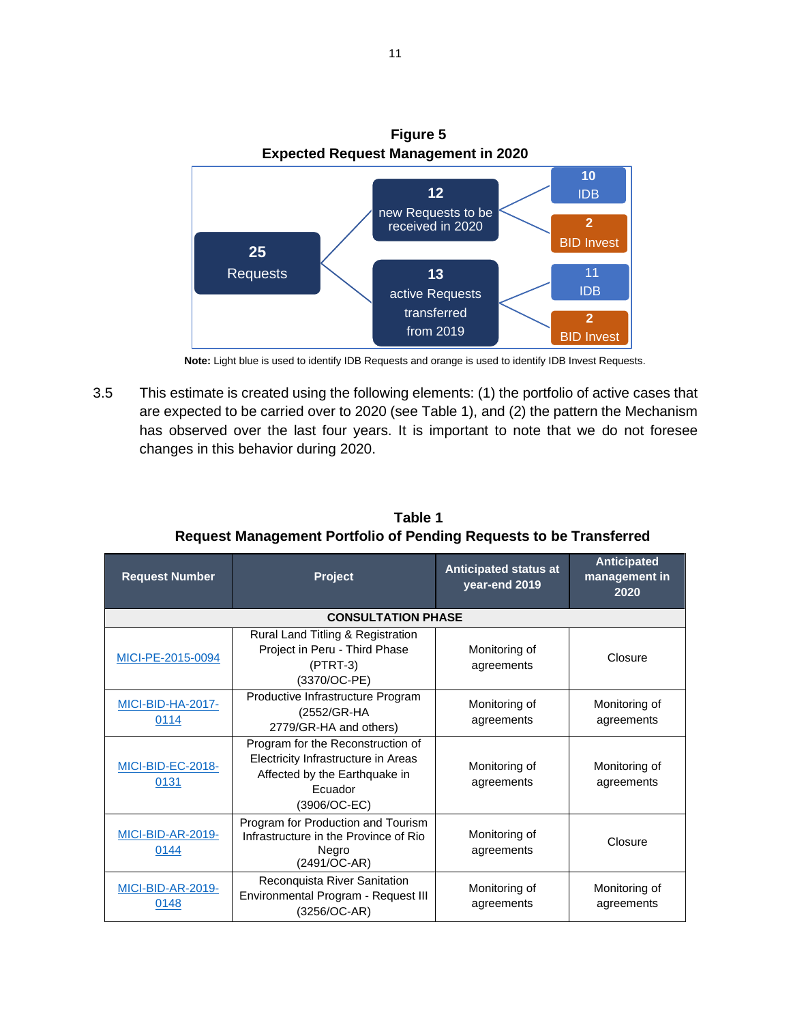

**Note:** Light blue is used to identify IDB Requests and orange is used to identify IDB Invest Requests.

3.5 This estimate is created using the following elements: (1) the portfolio of active cases that are expected to be carried over to 2020 (see Table 1), and (2) the pattern the Mechanism has observed over the last four years. It is important to note that we do not foresee changes in this behavior during 2020.

| <b>Request Management Portfolio of Pending Requests to be Transferred</b>                                                         |                                                                                                                                      |                                               |                                             |  |  |  |  |
|-----------------------------------------------------------------------------------------------------------------------------------|--------------------------------------------------------------------------------------------------------------------------------------|-----------------------------------------------|---------------------------------------------|--|--|--|--|
| <b>Request Number</b>                                                                                                             | <b>Project</b>                                                                                                                       | <b>Anticipated status at</b><br>year-end 2019 | <b>Anticipated</b><br>management in<br>2020 |  |  |  |  |
|                                                                                                                                   | <b>CONSULTATION PHASE</b>                                                                                                            |                                               |                                             |  |  |  |  |
| MICI-PE-2015-0094                                                                                                                 | Rural Land Titling & Registration<br>Project in Peru - Third Phase<br>$(PTRT-3)$<br>(3370/OC-PE)                                     | Monitoring of<br>agreements                   | Closure                                     |  |  |  |  |
| <b>MICI-BID-HA-2017-</b><br>0114                                                                                                  | Productive Infrastructure Program<br>(2552/GR-HA<br>2779/GR-HA and others)                                                           |                                               | Monitoring of<br>agreements                 |  |  |  |  |
| MICI-BID-EC-2018-<br>0131                                                                                                         | Program for the Reconstruction of<br>Electricity Infrastructure in Areas<br>Affected by the Earthquake in<br>Ecuador<br>(3906/OC-EC) | Monitoring of<br>agreements                   | Monitoring of<br>agreements                 |  |  |  |  |
| Program for Production and Tourism<br>MICI-BID-AR-2019-<br>Infrastructure in the Province of Rio<br>0144<br>Negro<br>(2491/OC-AR) |                                                                                                                                      | Monitoring of<br>agreements                   | Closure                                     |  |  |  |  |
| $MOM$ DID AD 0040                                                                                                                 | Reconquista River Sanitation                                                                                                         | .                                             | .                                           |  |  |  |  |

Monitoring of agreements

Monitoring of agreements

Environmental Program - Request III (3256/OC-AR)

[MICI-BID-AR-2019-](https://www.iadb.org/en/mici/complaint-detail?ID=MICI-BID-AR-2019-0148) [0148](https://www.iadb.org/en/mici/complaint-detail?ID=MICI-BID-AR-2019-0148)

**Table 1 Request Management Portfolio of Pending Requests to be Transferred**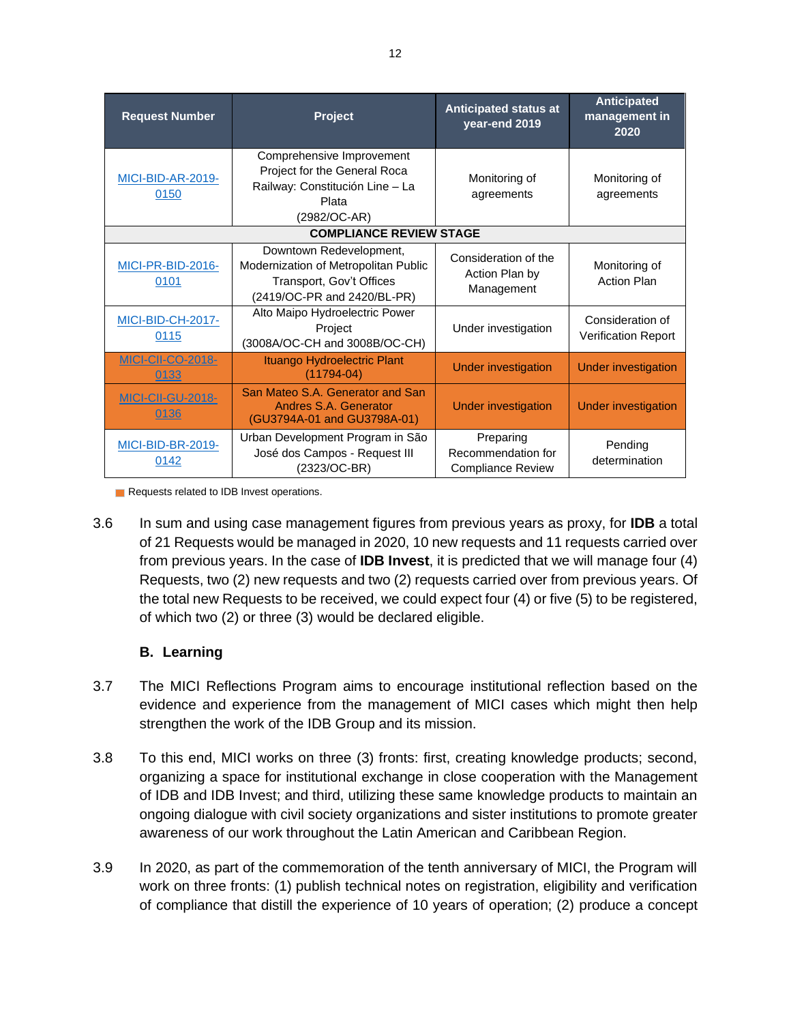| <b>Request Number</b>            | Project                                                                                                                    |                                                             | <b>Anticipated</b><br>management in<br>2020    |
|----------------------------------|----------------------------------------------------------------------------------------------------------------------------|-------------------------------------------------------------|------------------------------------------------|
| MICI-BID-AR-2019-<br>0150        | Comprehensive Improvement<br>Project for the General Roca<br>Railway: Constitución Line - La<br>Plata<br>(2982/OC-AR)      | Monitoring of<br>agreements                                 | Monitoring of<br>agreements                    |
|                                  | <b>COMPLIANCE REVIEW STAGE</b>                                                                                             |                                                             |                                                |
| MICI-PR-BID-2016-<br>0101        | Downtown Redevelopment,<br>Modernization of Metropolitan Public<br>Transport, Gov't Offices<br>(2419/OC-PR and 2420/BL-PR) |                                                             | Monitoring of<br><b>Action Plan</b>            |
| <b>MICI-BID-CH-2017-</b><br>0115 | Alto Maipo Hydroelectric Power<br>Project<br>(3008A/OC-CH and 3008B/OC-CH)                                                 | Under investigation                                         | Consideration of<br><b>Verification Report</b> |
| <b>MICI-CII-CO-2018-</b><br>0133 | Ituango Hydroelectric Plant<br>$(11794-04)$                                                                                | <b>Under investigation</b>                                  | <b>Under investigation</b>                     |
| <b>MICI-CII-GU-2018-</b><br>0136 | San Mateo S.A. Generator and San<br>Andres S.A. Generator<br>(GU3794A-01 and GU3798A-01)                                   | <b>Under investigation</b>                                  | <b>Under investigation</b>                     |
| MICI-BID-BR-2019-<br>0142        | Urban Development Program in São<br>José dos Campos - Request III<br>(2323/OC-BR)                                          | Preparing<br>Recommendation for<br><b>Compliance Review</b> | Pending<br>determination                       |

Requests related to IDB Invest operations.

3.6 In sum and using case management figures from previous years as proxy, for **IDB** a total of 21 Requests would be managed in 2020, 10 new requests and 11 requests carried over from previous years. In the case of **IDB Invest**, it is predicted that we will manage four (4) Requests, two (2) new requests and two (2) requests carried over from previous years. Of the total new Requests to be received, we could expect four (4) or five (5) to be registered, of which two (2) or three (3) would be declared eligible.

## **B. Learning**

- <span id="page-12-0"></span>3.7 The MICI Reflections Program aims to encourage institutional reflection based on the evidence and experience from the management of MICI cases which might then help strengthen the work of the IDB Group and its mission.
- 3.8 To this end, MICI works on three (3) fronts: first, creating knowledge products; second, organizing a space for institutional exchange in close cooperation with the Management of IDB and IDB Invest; and third, utilizing these same knowledge products to maintain an ongoing dialogue with civil society organizations and sister institutions to promote greater awareness of our work throughout the Latin American and Caribbean Region.
- 3.9 In 2020, as part of the commemoration of the tenth anniversary of MICI, the Program will work on three fronts: (1) publish technical notes on registration, eligibility and verification of compliance that distill the experience of 10 years of operation; (2) produce a concept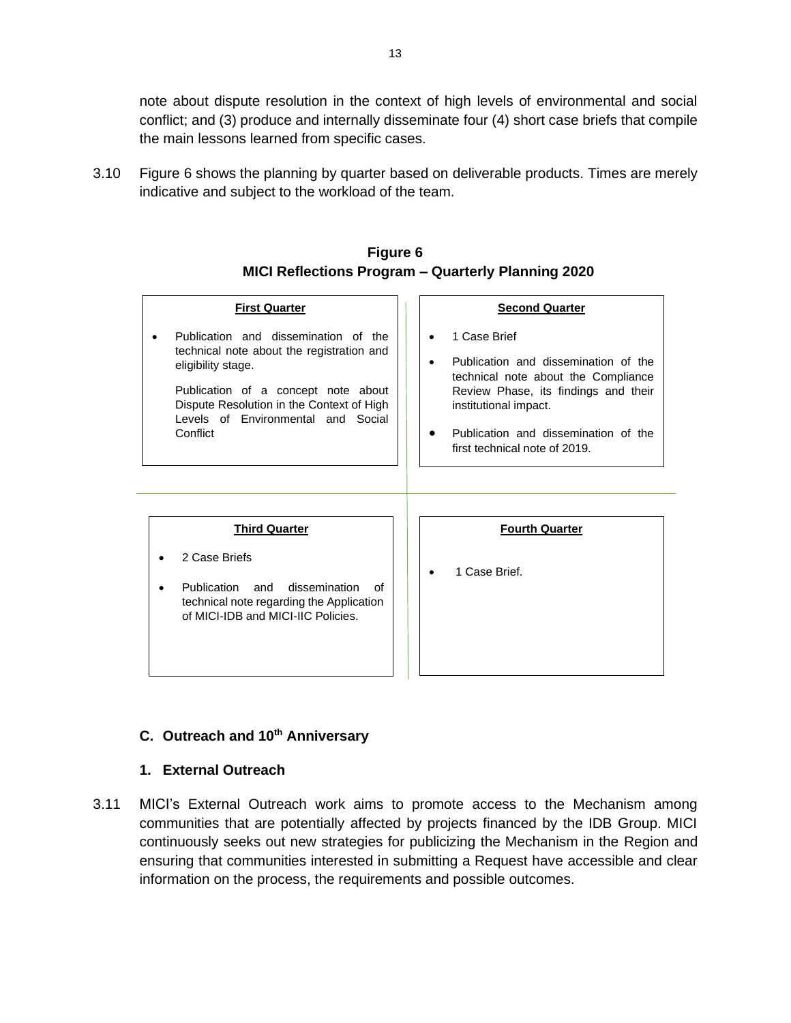note about dispute resolution in the context of high levels of environmental and social conflict; and (3) produce and internally disseminate four (4) short case briefs that compile the main lessons learned from specific cases.

3.10 Figure 6 shows the planning by quarter based on deliverable products. Times are merely indicative and subject to the workload of the team.

| <b>First Quarter</b>                                                                                                                                                                                                                          | <b>Second Quarter</b>                                                                                                                                                                                                                              |
|-----------------------------------------------------------------------------------------------------------------------------------------------------------------------------------------------------------------------------------------------|----------------------------------------------------------------------------------------------------------------------------------------------------------------------------------------------------------------------------------------------------|
| Publication and dissemination of the<br>technical note about the registration and<br>eligibility stage.<br>Publication of a concept note about<br>Dispute Resolution in the Context of High<br>Levels of Environmental and Social<br>Conflict | 1 Case Brief<br>Publication and dissemination of the<br>$\bullet$<br>technical note about the Compliance<br>Review Phase, its findings and their<br>institutional impact.<br>Publication and dissemination of the<br>first technical note of 2019. |
| <b>Third Quarter</b><br>2 Case Briefs<br>Publication<br>dissemination<br>and<br>∩f<br>technical note regarding the Application<br>of MICI-IDB and MICI-IIC Policies.                                                                          | <b>Fourth Quarter</b><br>1 Case Brief.                                                                                                                                                                                                             |

### **Figure 6 MICI Reflections Program – Quarterly Planning 2020**

# <span id="page-13-0"></span>**C. Outreach and 10th Anniversary**

### **1. External Outreach**

<span id="page-13-1"></span>3.11 MICI's External Outreach work aims to promote access to the Mechanism among communities that are potentially affected by projects financed by the IDB Group. MICI continuously seeks out new strategies for publicizing the Mechanism in the Region and ensuring that communities interested in submitting a Request have accessible and clear information on the process, the requirements and possible outcomes.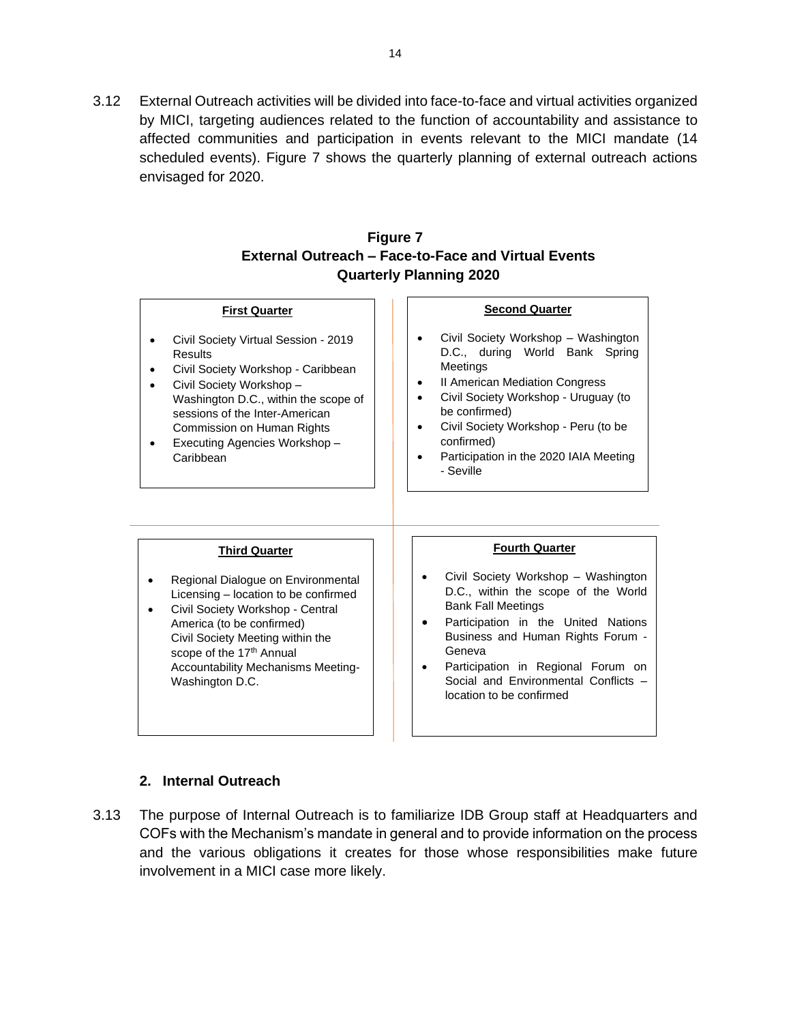3.12 External Outreach activities will be divided into face-to-face and virtual activities organized by MICI, targeting audiences related to the function of accountability and assistance to affected communities and participation in events relevant to the MICI mandate (14 scheduled events). Figure 7 shows the quarterly planning of external outreach actions envisaged for 2020.

## **Figure 7 External Outreach – Face-to-Face and Virtual Events Quarterly Planning 2020**

#### **First Quarter**

- Civil Society Virtual Session 2019 **Results**
- Civil Society Workshop Caribbean
- Civil Society Workshop Washington D.C., within the scope of sessions of the Inter-American Commission on Human Rights
- Executing Agencies Workshop **Caribbean**

#### **Second Quarter**

- Civil Society Workshop Washington D.C., during World Bank Spring Meetings
- **II American Mediation Congress**
- Civil Society Workshop Uruguay (to be confirmed)
- Civil Society Workshop Peru (to be confirmed)
- Participation in the 2020 IAIA Meeting - Seville

#### **Third Quarter**

- Regional Dialogue on Environmental Licensing – location to be confirmed
- Civil Society Workshop Central America (to be confirmed) Civil Society Meeting within the scope of the 17<sup>th</sup> Annual Accountability Mechanisms Meeting-Washington D.C.

#### **Fourth Quarter**

- Civil Society Workshop Washington D.C., within the scope of the World Bank Fall Meetings
- Participation in the United Nations Business and Human Rights Forum - Geneva
- Participation in Regional Forum on Social and Environmental Conflicts – location to be confirmed

### **2. Internal Outreach**

<span id="page-14-0"></span>3.13 The purpose of Internal Outreach is to familiarize IDB Group staff at Headquarters and COFs with the Mechanism's mandate in general and to provide information on the process and the various obligations it creates for those whose responsibilities make future involvement in a MICI case more likely.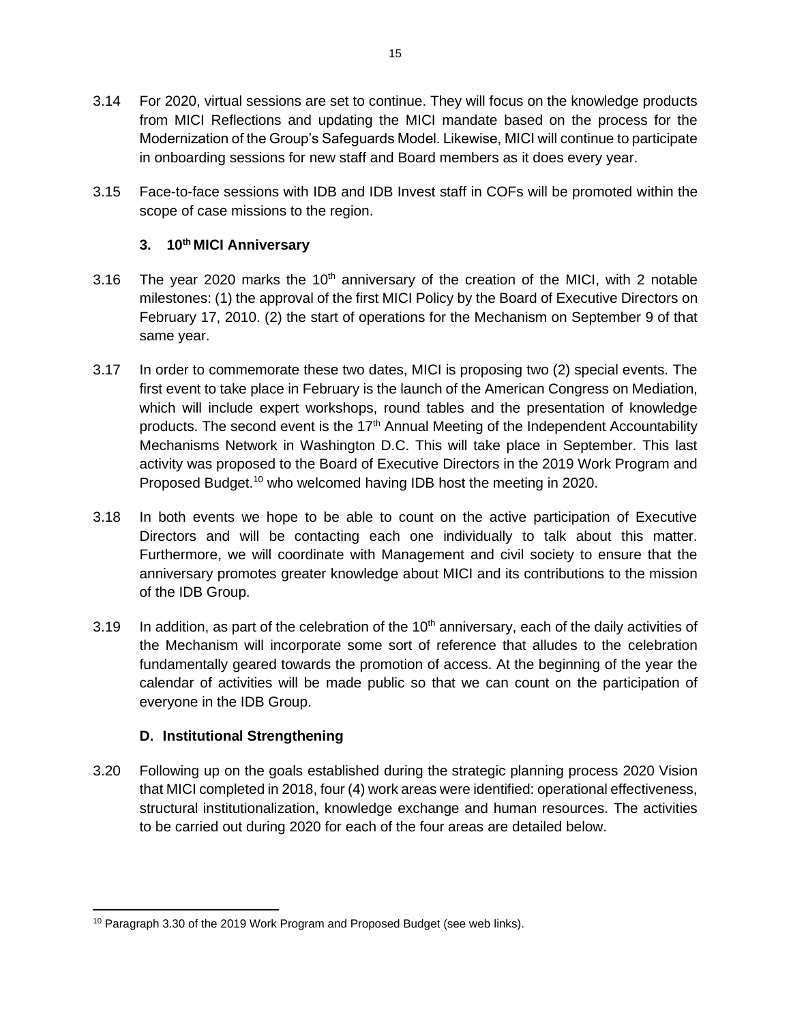- 3.14 For 2020, virtual sessions are set to continue. They will focus on the knowledge products from MICI Reflections and updating the MICI mandate based on the process for the Modernization of the Group's Safeguards Model. Likewise, MICI will continue to participate in onboarding sessions for new staff and Board members as it does every year.
- 3.15 Face-to-face sessions with IDB and IDB Invest staff in COFs will be promoted within the scope of case missions to the region.

## <span id="page-15-0"></span>**3. 10th MICI Anniversary**

- 3.16 The year 2020 marks the  $10<sup>th</sup>$  anniversary of the creation of the MICI, with 2 notable milestones: (1) the approval of the first MICI Policy by the Board of Executive Directors on February 17, 2010. (2) the start of operations for the Mechanism on September 9 of that same year.
- 3.17 In order to commemorate these two dates, MICI is proposing two (2) special events. The first event to take place in February is the launch of the American Congress on Mediation, which will include expert workshops, round tables and the presentation of knowledge products. The second event is the  $17<sup>th</sup>$  Annual Meeting of the Independent Accountability Mechanisms Network in Washington D.C. This will take place in September. This last activity was proposed to the Board of Executive Directors in the 2019 Work Program and Proposed Budget.<sup>10</sup> who welcomed having IDB host the meeting in 2020.
- 3.18 In both events we hope to be able to count on the active participation of Executive Directors and will be contacting each one individually to talk about this matter. Furthermore, we will coordinate with Management and civil society to ensure that the anniversary promotes greater knowledge about MICI and its contributions to the mission of the IDB Group.
- 3.19 In addition, as part of the celebration of the  $10<sup>th</sup>$  anniversary, each of the daily activities of the Mechanism will incorporate some sort of reference that alludes to the celebration fundamentally geared towards the promotion of access. At the beginning of the year the calendar of activities will be made public so that we can count on the participation of everyone in the IDB Group.

## **D. Institutional Strengthening**

<span id="page-15-1"></span>3.20 Following up on the goals established during the strategic planning process 2020 Vision that MICI completed in 2018, four (4) work areas were identified: operational effectiveness, structural institutionalization, knowledge exchange and human resources. The activities to be carried out during 2020 for each of the four areas are detailed below.

<sup>&</sup>lt;sup>10</sup> Paragraph 3.30 of the 2019 Work Program and Proposed Budget (see web links).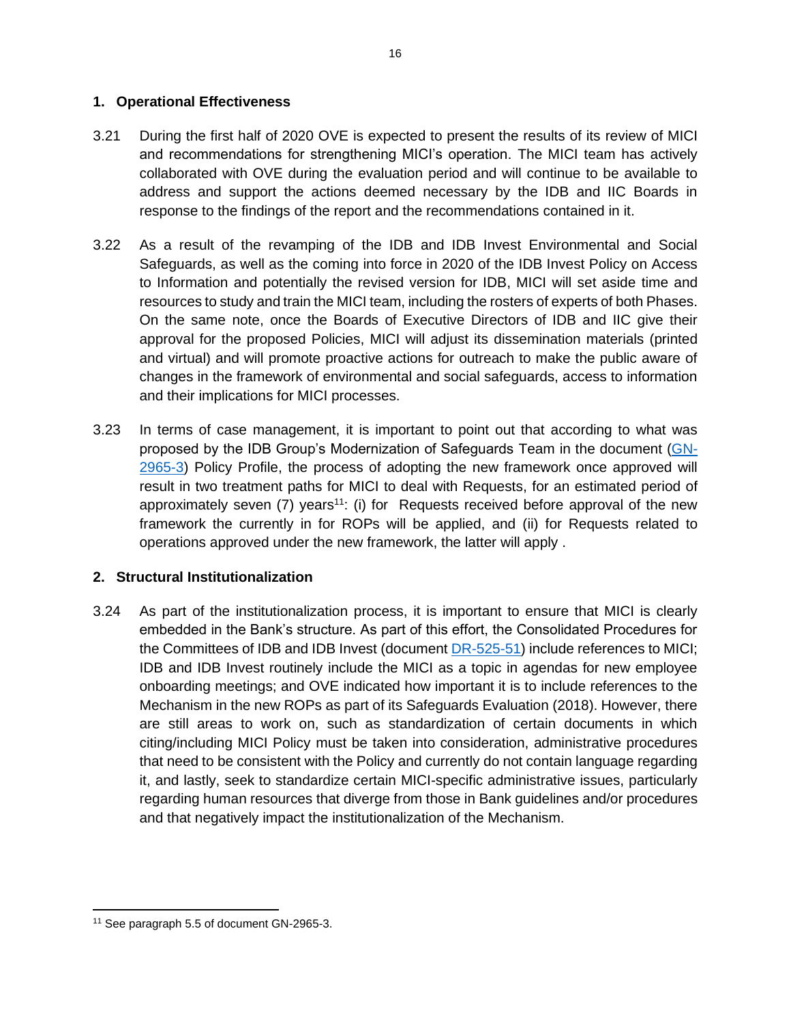#### <span id="page-16-0"></span>**1. Operational Effectiveness**

- 3.21 During the first half of 2020 OVE is expected to present the results of its review of MICI and recommendations for strengthening MICI's operation. The MICI team has actively collaborated with OVE during the evaluation period and will continue to be available to address and support the actions deemed necessary by the IDB and IIC Boards in response to the findings of the report and the recommendations contained in it.
- 3.22 As a result of the revamping of the IDB and IDB Invest Environmental and Social Safeguards, as well as the coming into force in 2020 of the IDB Invest Policy on Access to Information and potentially the revised version for IDB, MICI will set aside time and resources to study and train the MICI team, including the rosters of experts of both Phases. On the same note, once the Boards of Executive Directors of IDB and IIC give their approval for the proposed Policies, MICI will adjust its dissemination materials (printed and virtual) and will promote proactive actions for outreach to make the public aware of changes in the framework of environmental and social safeguards, access to information and their implications for MICI processes.
- 3.23 In terms of case management, it is important to point out that according to what was proposed by the IDB Group's Modernization of Safeguards Team in the document [\(GN-](http://idbdocs.iadb.org/wsdocs/getdocument.aspx?docnum=EZSHARE-169603605-7488)[2965-3\)](http://idbdocs.iadb.org/wsdocs/getdocument.aspx?docnum=EZSHARE-169603605-7488) Policy Profile, the process of adopting the new framework once approved will result in two treatment paths for MICI to deal with Requests, for an estimated period of approximately seven  $(7)$  years<sup>11</sup>: (i) for Requests received before approval of the new framework the currently in for ROPs will be applied, and (ii) for Requests related to operations approved under the new framework, the latter will apply .

### <span id="page-16-1"></span>**2. Structural Institutionalization**

3.24 As part of the institutionalization process, it is important to ensure that MICI is clearly embedded in the Bank's structure. As part of this effort, the Consolidated Procedures for the Committees of IDB and IDB Invest (document [DR-525-51\)](http://idbdocs.iadb.org/wsdocs/getdocument.aspx?docnum=EZSHARE-476570015-3496) include references to MICI; IDB and IDB Invest routinely include the MICI as a topic in agendas for new employee onboarding meetings; and OVE indicated how important it is to include references to the Mechanism in the new ROPs as part of its Safeguards Evaluation (2018). However, there are still areas to work on, such as standardization of certain documents in which citing/including MICI Policy must be taken into consideration, administrative procedures that need to be consistent with the Policy and currently do not contain language regarding it, and lastly, seek to standardize certain MICI-specific administrative issues, particularly regarding human resources that diverge from those in Bank guidelines and/or procedures and that negatively impact the institutionalization of the Mechanism.

<sup>11</sup> See paragraph 5.5 of document GN-2965-3.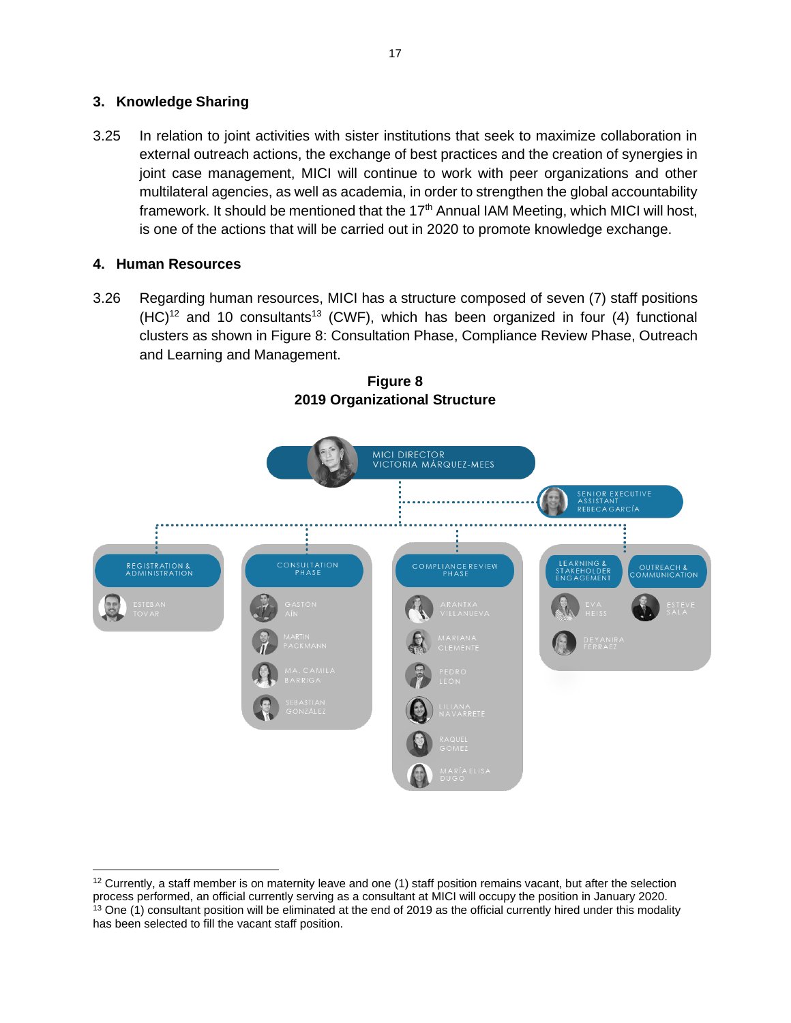### <span id="page-17-0"></span>**3. Knowledge Sharing**

3.25 In relation to joint activities with sister institutions that seek to maximize collaboration in external outreach actions, the exchange of best practices and the creation of synergies in joint case management, MICI will continue to work with peer organizations and other multilateral agencies, as well as academia, in order to strengthen the global accountability framework. It should be mentioned that the 17<sup>th</sup> Annual IAM Meeting, which MICI will host, is one of the actions that will be carried out in 2020 to promote knowledge exchange.

## <span id="page-17-1"></span>**4. Human Resources**

3.26 Regarding human resources, MICI has a structure composed of seven (7) staff positions  $(HC)^{12}$  and 10 consultants<sup>13</sup> (CWF), which has been organized in four (4) functional clusters as shown in Figure 8: Consultation Phase, Compliance Review Phase, Outreach and Learning and Management.



**Figure 8 2019 Organizational Structure**

 $12$  Currently, a staff member is on maternity leave and one (1) staff position remains vacant, but after the selection process performed, an official currently serving as a consultant at MICI will occupy the position in January 2020. <sup>13</sup> One (1) consultant position will be eliminated at the end of 2019 as the official currently hired under this modality has been selected to fill the vacant staff position.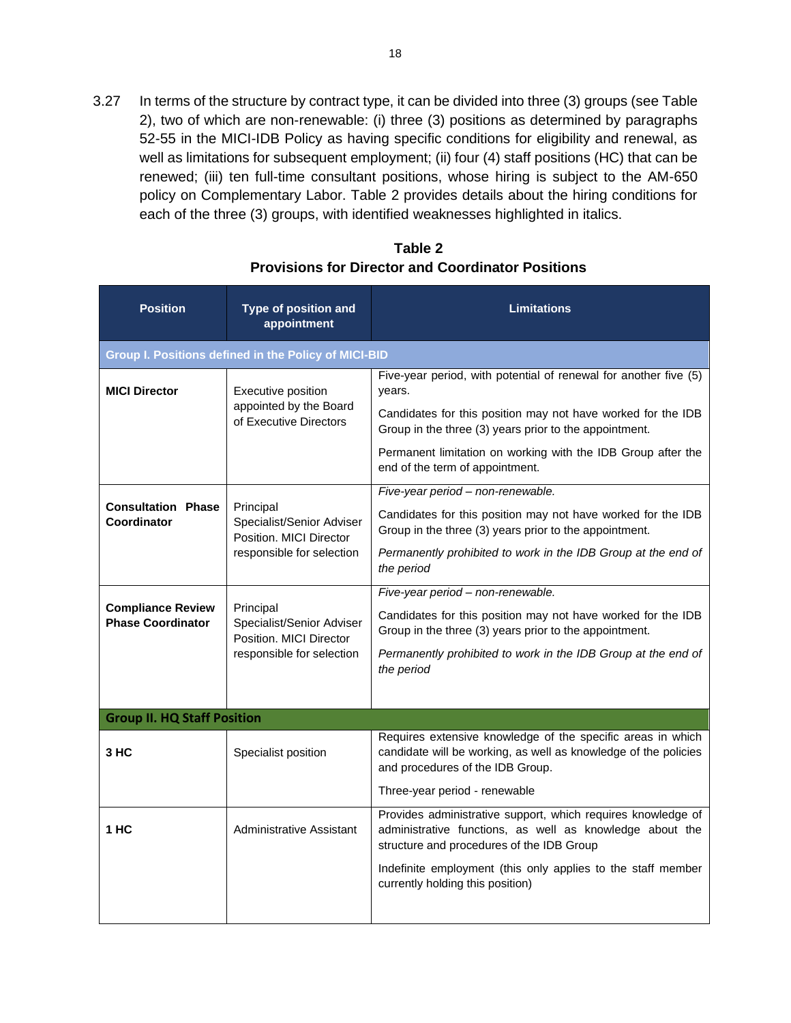3.27 In terms of the structure by contract type, it can be divided into three (3) groups (see Table 2), two of which are non-renewable: (i) three (3) positions as determined by paragraphs 52-55 in the MICI-IDB Policy as having specific conditions for eligibility and renewal, as well as limitations for subsequent employment; (ii) four (4) staff positions (HC) that can be renewed; (iii) ten full-time consultant positions, whose hiring is subject to the AM-650 policy on Complementary Labor. Table 2 provides details about the hiring conditions for each of the three (3) groups, with identified weaknesses highlighted in italics.

| <b>Position</b>                                      | Type of position and<br>appointment                                                                                                                                                               | <b>Limitations</b>                                                                                                                                                 |  |  |  |  |
|------------------------------------------------------|---------------------------------------------------------------------------------------------------------------------------------------------------------------------------------------------------|--------------------------------------------------------------------------------------------------------------------------------------------------------------------|--|--|--|--|
|                                                      | Group I. Positions defined in the Policy of MICI-BID                                                                                                                                              |                                                                                                                                                                    |  |  |  |  |
| <b>MICI Director</b>                                 | Executive position                                                                                                                                                                                | Five-year period, with potential of renewal for another five (5)<br>years.                                                                                         |  |  |  |  |
|                                                      | appointed by the Board<br>of Executive Directors                                                                                                                                                  | Candidates for this position may not have worked for the IDB<br>Group in the three (3) years prior to the appointment.                                             |  |  |  |  |
|                                                      |                                                                                                                                                                                                   | Permanent limitation on working with the IDB Group after the<br>end of the term of appointment.                                                                    |  |  |  |  |
|                                                      |                                                                                                                                                                                                   | Five-year period - non-renewable.                                                                                                                                  |  |  |  |  |
| <b>Consultation Phase</b><br>Coordinator             | Principal<br>Specialist/Senior Adviser<br>Position. MICI Director                                                                                                                                 | Candidates for this position may not have worked for the IDB<br>Group in the three (3) years prior to the appointment.                                             |  |  |  |  |
|                                                      | responsible for selection                                                                                                                                                                         | Permanently prohibited to work in the IDB Group at the end of<br>the period                                                                                        |  |  |  |  |
|                                                      |                                                                                                                                                                                                   | Five-year period - non-renewable.                                                                                                                                  |  |  |  |  |
| <b>Compliance Review</b><br><b>Phase Coordinator</b> | Principal<br>Specialist/Senior Adviser<br>Position. MICI Director                                                                                                                                 | Candidates for this position may not have worked for the IDB<br>Group in the three (3) years prior to the appointment.                                             |  |  |  |  |
|                                                      | responsible for selection                                                                                                                                                                         | Permanently prohibited to work in the IDB Group at the end of<br>the period                                                                                        |  |  |  |  |
|                                                      |                                                                                                                                                                                                   |                                                                                                                                                                    |  |  |  |  |
| <b>Group II. HQ Staff Position</b>                   |                                                                                                                                                                                                   |                                                                                                                                                                    |  |  |  |  |
| 3 HC                                                 | Specialist position                                                                                                                                                                               | Requires extensive knowledge of the specific areas in which<br>candidate will be working, as well as knowledge of the policies<br>and procedures of the IDB Group. |  |  |  |  |
|                                                      |                                                                                                                                                                                                   | Three-year period - renewable                                                                                                                                      |  |  |  |  |
| 1 HC                                                 | Provides administrative support, which requires knowledge of<br>Administrative Assistant<br>administrative functions, as well as knowledge about the<br>structure and procedures of the IDB Group |                                                                                                                                                                    |  |  |  |  |
|                                                      |                                                                                                                                                                                                   | Indefinite employment (this only applies to the staff member<br>currently holding this position)                                                                   |  |  |  |  |
|                                                      |                                                                                                                                                                                                   |                                                                                                                                                                    |  |  |  |  |

## **Table 2 Provisions for Director and Coordinator Positions**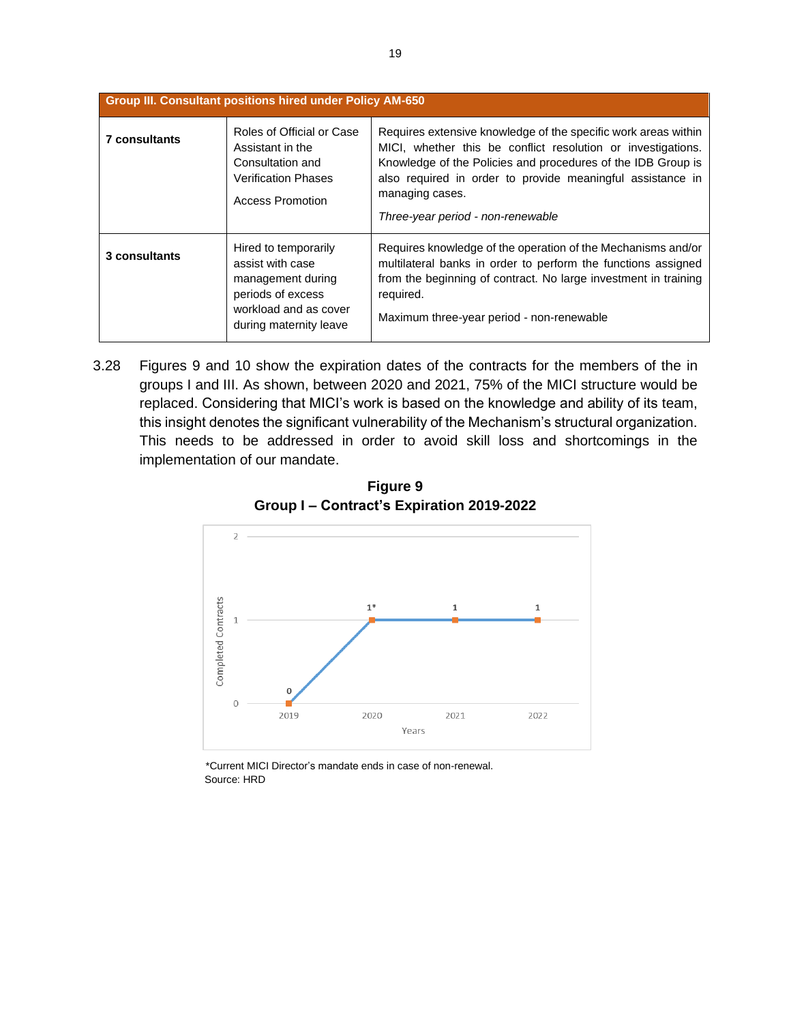|                      | <b>Group III. Consultant positions hired under Policy AM-650</b>                                                                      |                                                                                                                                                                                                                                                                                                                      |  |  |  |  |  |  |  |  |
|----------------------|---------------------------------------------------------------------------------------------------------------------------------------|----------------------------------------------------------------------------------------------------------------------------------------------------------------------------------------------------------------------------------------------------------------------------------------------------------------------|--|--|--|--|--|--|--|--|
| <b>7 consultants</b> | Roles of Official or Case<br>Assistant in the<br>Consultation and<br><b>Verification Phases</b><br>Access Promotion                   | Requires extensive knowledge of the specific work areas within<br>MICI, whether this be conflict resolution or investigations.<br>Knowledge of the Policies and procedures of the IDB Group is<br>also required in order to provide meaningful assistance in<br>managing cases.<br>Three-year period - non-renewable |  |  |  |  |  |  |  |  |
| 3 consultants        | Hired to temporarily<br>assist with case<br>management during<br>periods of excess<br>workload and as cover<br>during maternity leave | Requires knowledge of the operation of the Mechanisms and/or<br>multilateral banks in order to perform the functions assigned<br>from the beginning of contract. No large investment in training<br>required.<br>Maximum three-year period - non-renewable                                                           |  |  |  |  |  |  |  |  |

3.28 Figures 9 and 10 show the expiration dates of the contracts for the members of the in groups I and III. As shown, between 2020 and 2021, 75% of the MICI structure would be replaced. Considering that MICI's work is based on the knowledge and ability of its team, this insight denotes the significant vulnerability of the Mechanism's structural organization. This needs to be addressed in order to avoid skill loss and shortcomings in the implementation of our mandate.



**Figure 9 Group I – Contract's Expiration 2019-2022**

 \*Current MICI Director's mandate ends in case of non-renewal. Source: HRD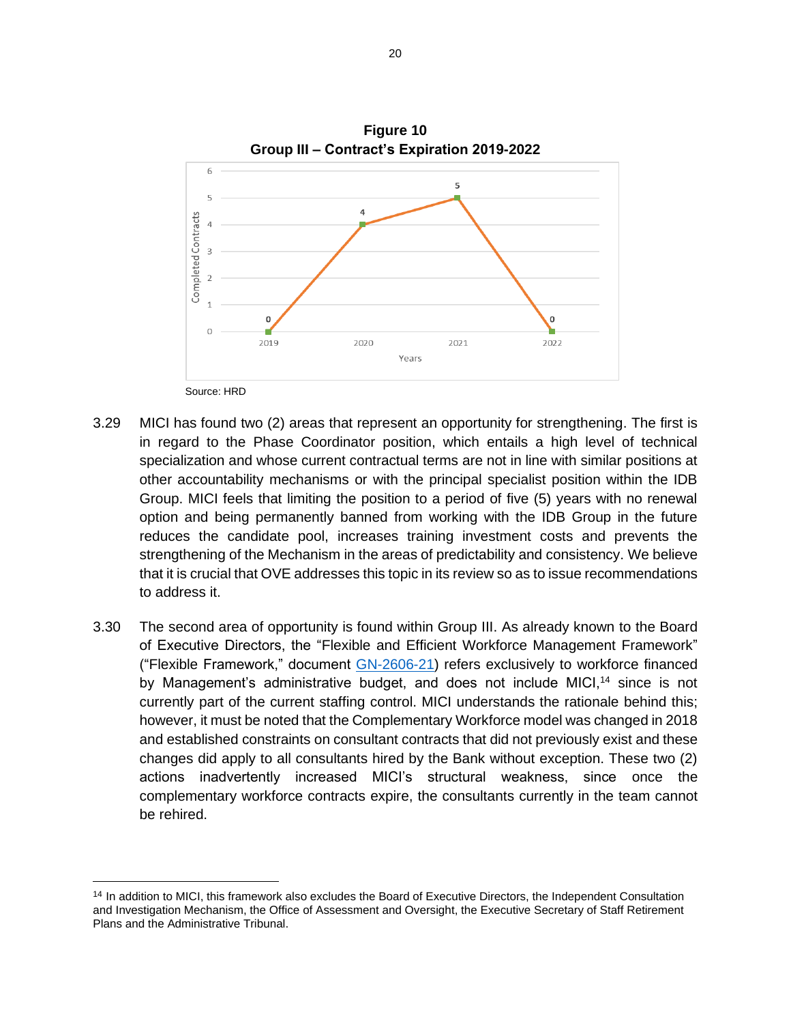

- 3.29 MICI has found two (2) areas that represent an opportunity for strengthening. The first is in regard to the Phase Coordinator position, which entails a high level of technical specialization and whose current contractual terms are not in line with similar positions at other accountability mechanisms or with the principal specialist position within the IDB Group. MICI feels that limiting the position to a period of five (5) years with no renewal option and being permanently banned from working with the IDB Group in the future reduces the candidate pool, increases training investment costs and prevents the strengthening of the Mechanism in the areas of predictability and consistency. We believe that it is crucial that OVE addresses this topic in its review so as to issue recommendations to address it.
- 3.30 The second area of opportunity is found within Group III. As already known to the Board of Executive Directors, the "Flexible and Efficient Workforce Management Framework" ("Flexible Framework," document [GN-2606-21\)](http://idbdocs.iadb.org/wsdocs/getdocument.aspx?docnum=EZSHARE-441247029-1017) refers exclusively to workforce financed by Management's administrative budget, and does not include MICI,<sup>14</sup> since is not currently part of the current staffing control. MICI understands the rationale behind this; however, it must be noted that the Complementary Workforce model was changed in 2018 and established constraints on consultant contracts that did not previously exist and these changes did apply to all consultants hired by the Bank without exception. These two (2) actions inadvertently increased MICI's structural weakness, since once the complementary workforce contracts expire, the consultants currently in the team cannot be rehired.

<sup>&</sup>lt;sup>14</sup> In addition to MICI, this framework also excludes the Board of Executive Directors, the Independent Consultation and Investigation Mechanism, the Office of Assessment and Oversight, the Executive Secretary of Staff Retirement Plans and the Administrative Tribunal.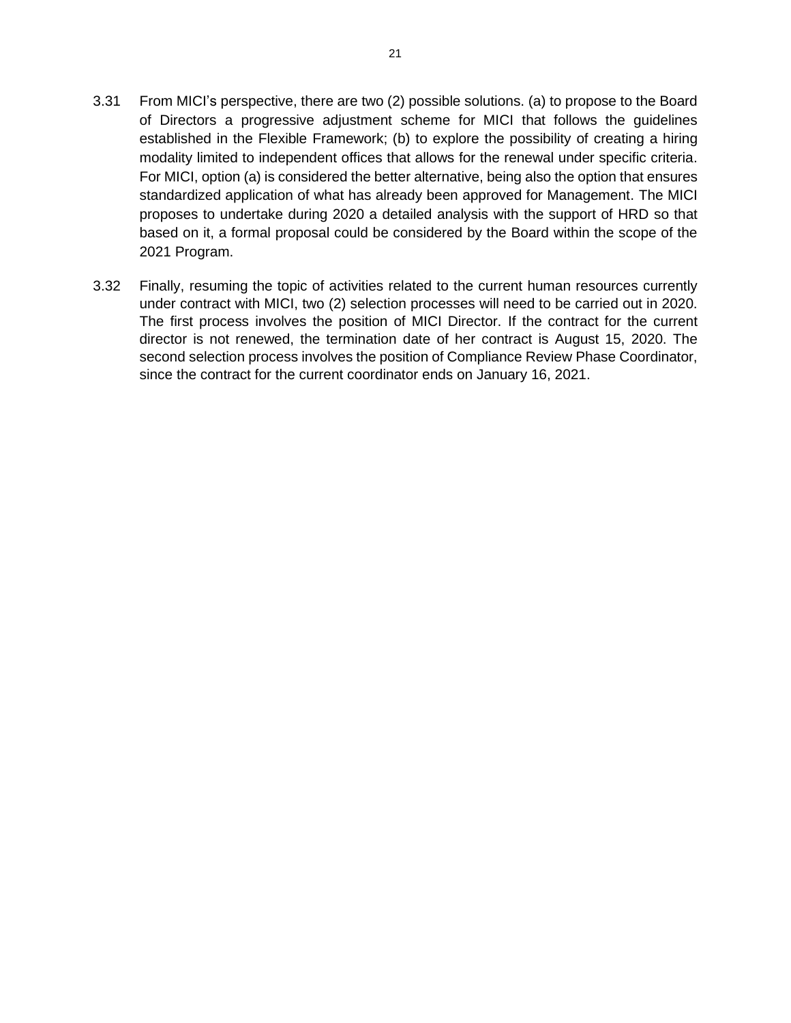- 3.31 From MICI's perspective, there are two (2) possible solutions. (a) to propose to the Board of Directors a progressive adjustment scheme for MICI that follows the guidelines established in the Flexible Framework; (b) to explore the possibility of creating a hiring modality limited to independent offices that allows for the renewal under specific criteria. For MICI, option (a) is considered the better alternative, being also the option that ensures standardized application of what has already been approved for Management. The MICI proposes to undertake during 2020 a detailed analysis with the support of HRD so that based on it, a formal proposal could be considered by the Board within the scope of the 2021 Program.
- 3.32 Finally, resuming the topic of activities related to the current human resources currently under contract with MICI, two (2) selection processes will need to be carried out in 2020. The first process involves the position of MICI Director. If the contract for the current director is not renewed, the termination date of her contract is August 15, 2020. The second selection process involves the position of Compliance Review Phase Coordinator, since the contract for the current coordinator ends on January 16, 2021.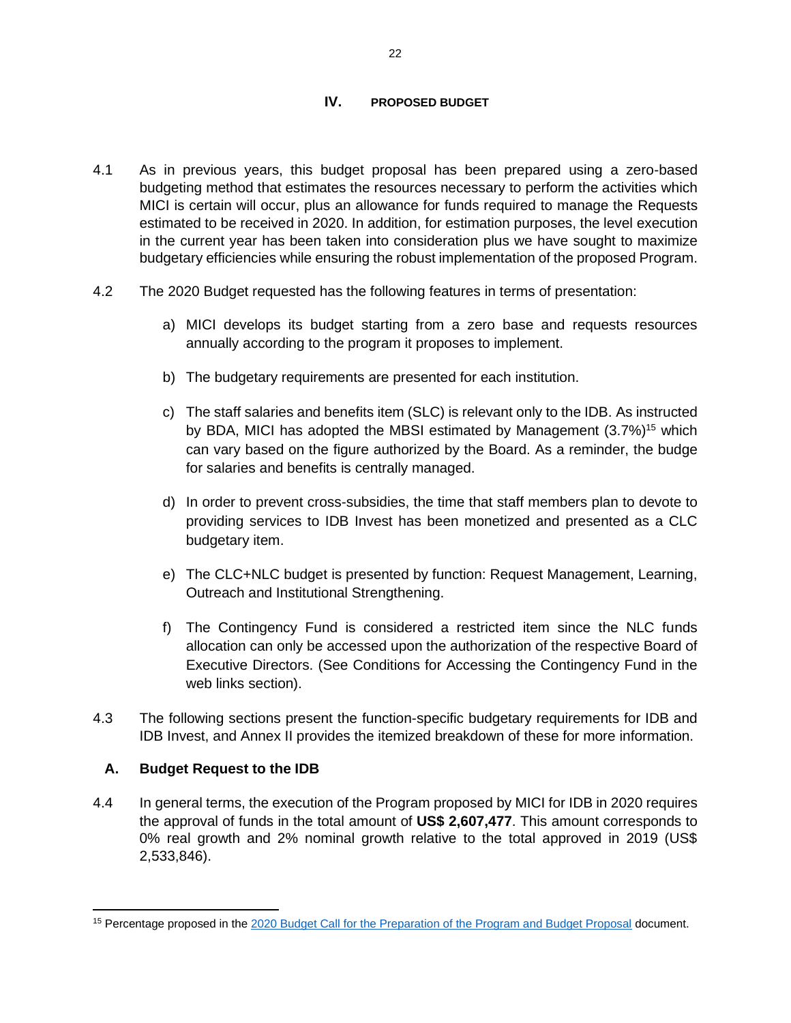#### **IV. PROPOSED BUDGET**

- <span id="page-22-0"></span>4.1 As in previous years, this budget proposal has been prepared using a zero-based budgeting method that estimates the resources necessary to perform the activities which MICI is certain will occur, plus an allowance for funds required to manage the Requests estimated to be received in 2020. In addition, for estimation purposes, the level execution in the current year has been taken into consideration plus we have sought to maximize budgetary efficiencies while ensuring the robust implementation of the proposed Program.
- 4.2 The 2020 Budget requested has the following features in terms of presentation:
	- a) MICI develops its budget starting from a zero base and requests resources annually according to the program it proposes to implement.
	- b) The budgetary requirements are presented for each institution.
	- c) The staff salaries and benefits item (SLC) is relevant only to the IDB. As instructed by BDA, MICI has adopted the MBSI estimated by Management (3.7%)<sup>15</sup> which can vary based on the figure authorized by the Board. As a reminder, the budge for salaries and benefits is centrally managed.
	- d) In order to prevent cross-subsidies, the time that staff members plan to devote to providing services to IDB Invest has been monetized and presented as a CLC budgetary item.
	- e) The CLC+NLC budget is presented by function: Request Management, Learning, Outreach and Institutional Strengthening.
	- f) The Contingency Fund is considered a restricted item since the NLC funds allocation can only be accessed upon the authorization of the respective Board of Executive Directors. (See Conditions for Accessing the Contingency Fund in the web links section).
- 4.3 The following sections present the function-specific budgetary requirements for IDB and IDB Invest, and Annex II provides the itemized breakdown of these for more information.

### <span id="page-22-1"></span>**A. Budget Request to the IDB**

4.4 In general terms, the execution of the Program proposed by MICI for IDB in 2020 requires the approval of funds in the total amount of **US\$ 2,607,477**. This amount corresponds to 0% real growth and 2% nominal growth relative to the total approved in 2019 (US\$ 2,533,846).

<sup>15</sup> Percentage proposed in the [2020 Budget Call for the Preparation of the Program and Budget Proposal](https://idbg.sharepoint.com/teams/ez-MICI/admin/BudgetPlanningandExecution/Fiscal%20Year%202020/Planning%202020/2020%20Budget%20Call%20-%20Distributed%20to%20VPs%20and%20STC%20-%20FINAL.pdf) document.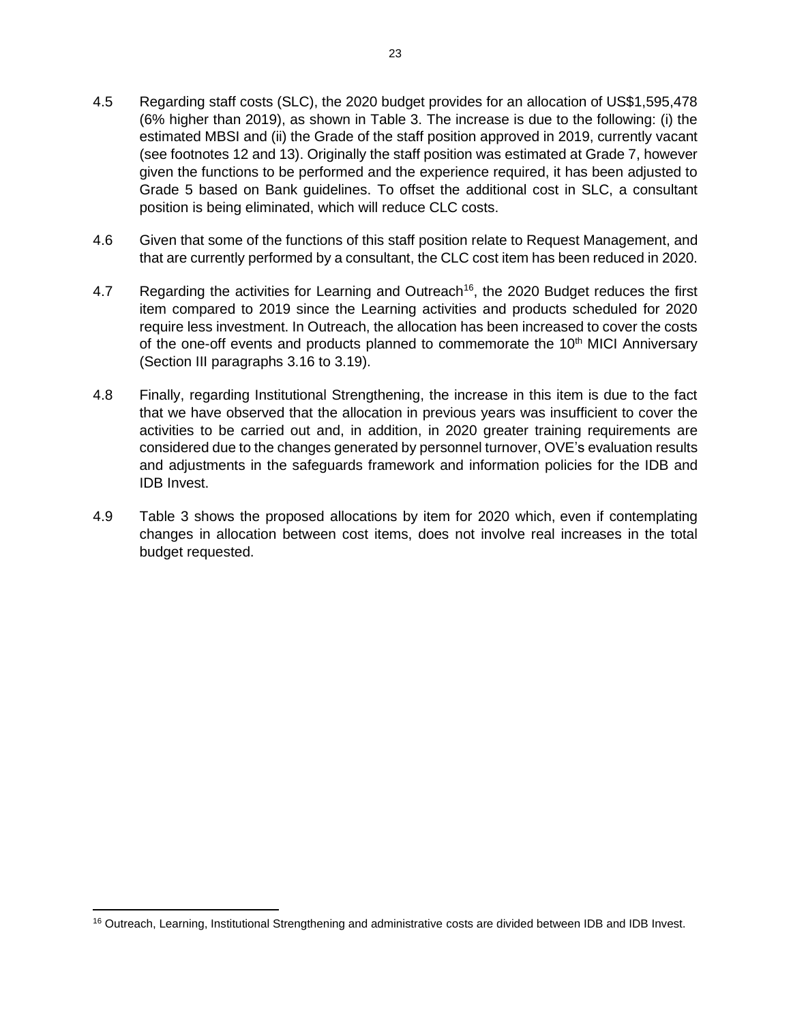- 4.5 Regarding staff costs (SLC), the 2020 budget provides for an allocation of US\$1,595,478 (6% higher than 2019), as shown in Table 3. The increase is due to the following: (i) the estimated MBSI and (ii) the Grade of the staff position approved in 2019, currently vacant (see footnotes 12 and 13). Originally the staff position was estimated at Grade 7, however given the functions to be performed and the experience required, it has been adjusted to Grade 5 based on Bank guidelines. To offset the additional cost in SLC, a consultant position is being eliminated, which will reduce CLC costs.
- 4.6 Given that some of the functions of this staff position relate to Request Management, and that are currently performed by a consultant, the CLC cost item has been reduced in 2020.
- 4.7 Regarding the activities for Learning and Outreach<sup>16</sup>, the 2020 Budget reduces the first item compared to 2019 since the Learning activities and products scheduled for 2020 require less investment. In Outreach, the allocation has been increased to cover the costs of the one-off events and products planned to commemorate the  $10<sup>th</sup>$  MICI Anniversary (Section III paragraphs 3.16 to 3.19).
- 4.8 Finally, regarding Institutional Strengthening, the increase in this item is due to the fact that we have observed that the allocation in previous years was insufficient to cover the activities to be carried out and, in addition, in 2020 greater training requirements are considered due to the changes generated by personnel turnover, OVE's evaluation results and adjustments in the safeguards framework and information policies for the IDB and IDB Invest.
- 4.9 Table 3 shows the proposed allocations by item for 2020 which, even if contemplating changes in allocation between cost items, does not involve real increases in the total budget requested.

<sup>&</sup>lt;sup>16</sup> Outreach, Learning, Institutional Strengthening and administrative costs are divided between IDB and IDB Invest.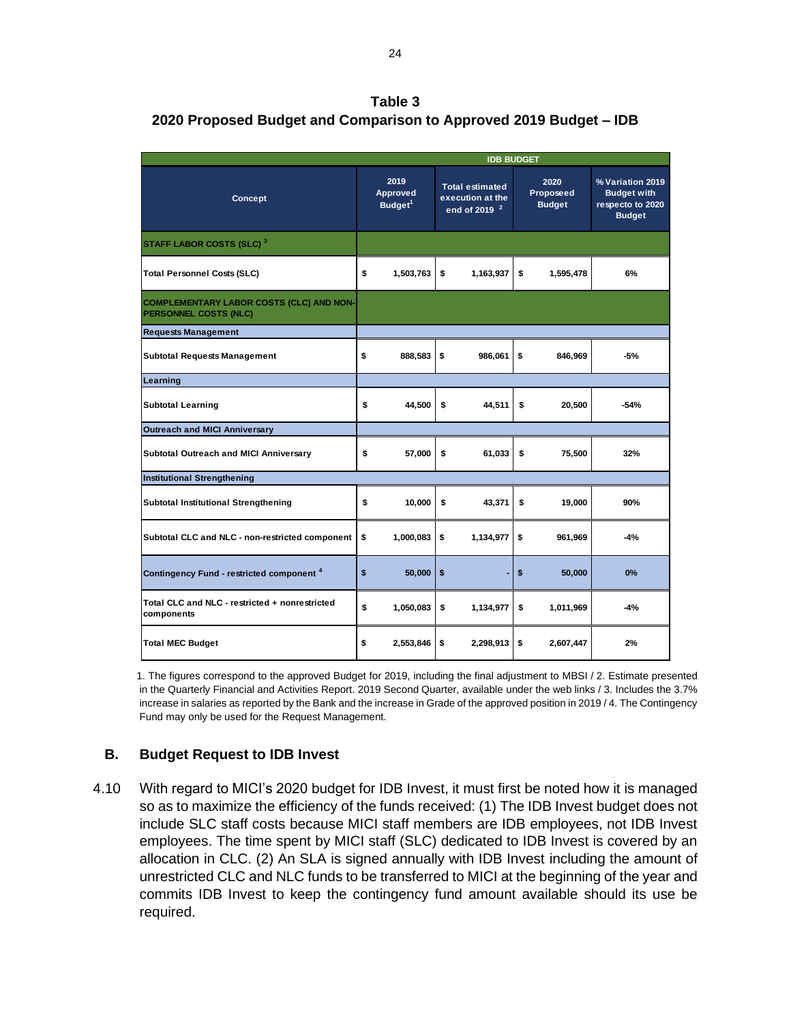**Table 3 2020 Proposed Budget and Comparison to Approved 2019 Budget – IDB**

|                                                                          | <b>IDB BUDGET</b>                       |           |                                                                        |           |                                    |           |                                                                             |
|--------------------------------------------------------------------------|-----------------------------------------|-----------|------------------------------------------------------------------------|-----------|------------------------------------|-----------|-----------------------------------------------------------------------------|
| <b>Concept</b>                                                           | 2019<br>Approved<br>Budget <sup>1</sup> |           | <b>Total estimated</b><br>execution at the<br>end of 2019 <sup>2</sup> |           | 2020<br>Proposeed<br><b>Budget</b> |           | % Variation 2019<br><b>Budget with</b><br>respecto to 2020<br><b>Budget</b> |
| STAFF LABOR COSTS (SLC) <sup>3</sup>                                     |                                         |           |                                                                        |           |                                    |           |                                                                             |
| <b>Total Personnel Costs (SLC)</b>                                       | \$                                      | 1,503,763 | \$                                                                     | 1,163,937 | \$                                 | 1,595,478 | 6%                                                                          |
| <b>COMPLEMENTARY LABOR COSTS (CLC) AND NON-</b><br>PERSONNEL COSTS (NLC) |                                         |           |                                                                        |           |                                    |           |                                                                             |
| <b>Requests Management</b>                                               |                                         |           |                                                                        |           |                                    |           |                                                                             |
| <b>Subtotal Requests Management</b>                                      | \$                                      | 888,583   | \$                                                                     | 986,061   | \$                                 | 846,969   | -5%                                                                         |
| Learning                                                                 |                                         |           |                                                                        |           |                                    |           |                                                                             |
| <b>Subtotal Learning</b>                                                 | \$                                      | 44,500    | \$                                                                     | 44,511    | \$                                 | 20,500    | $-54%$                                                                      |
| <b>Outreach and MICI Anniversary</b>                                     |                                         |           |                                                                        |           |                                    |           |                                                                             |
| Subtotal Outreach and MICI Anniversary                                   | \$                                      | 57.000    | \$                                                                     | 61.033    | \$                                 | 75.500    | 32%                                                                         |
| <b>Institutional Strengthening</b>                                       |                                         |           |                                                                        |           |                                    |           |                                                                             |
| <b>Subtotal Institutional Strengthening</b>                              | \$                                      | 10,000    | \$                                                                     | 43,371    | \$                                 | 19,000    | 90%                                                                         |
| Subtotal CLC and NLC - non-restricted component                          | \$                                      | 1,000,083 | \$                                                                     | 1,134,977 | \$                                 | 961,969   | $-4%$                                                                       |
| Contingency Fund - restricted component <sup>4</sup>                     | \$                                      | 50,000    | \$                                                                     |           | \$                                 | 50,000    | 0%                                                                          |
| Total CLC and NLC - restricted + nonrestricted<br>components             | \$                                      | 1,050,083 | \$                                                                     | 1,134,977 | \$                                 | 1,011,969 | $-4%$                                                                       |
| <b>Total MEC Budget</b>                                                  | \$                                      | 2,553,846 | \$                                                                     | 2,298,913 | \$                                 | 2,607,447 | 2%                                                                          |

1. The figures correspond to the approved Budget for 2019, including the final adjustment to MBSI / 2. Estimate presented in the Quarterly Financial and Activities Report. 2019 Second Quarter, available under the web links / 3. Includes the 3.7% increase in salaries as reported by the Bank and the increase in Grade of the approved position in 2019 / 4. The Contingency Fund may only be used for the Request Management.

### <span id="page-24-0"></span>**B. Budget Request to IDB Invest**

4.10 With regard to MICI's 2020 budget for IDB Invest, it must first be noted how it is managed so as to maximize the efficiency of the funds received: (1) The IDB Invest budget does not include SLC staff costs because MICI staff members are IDB employees, not IDB Invest employees. The time spent by MICI staff (SLC) dedicated to IDB Invest is covered by an allocation in CLC. (2) An SLA is signed annually with IDB Invest including the amount of unrestricted CLC and NLC funds to be transferred to MICI at the beginning of the year and commits IDB Invest to keep the contingency fund amount available should its use be required.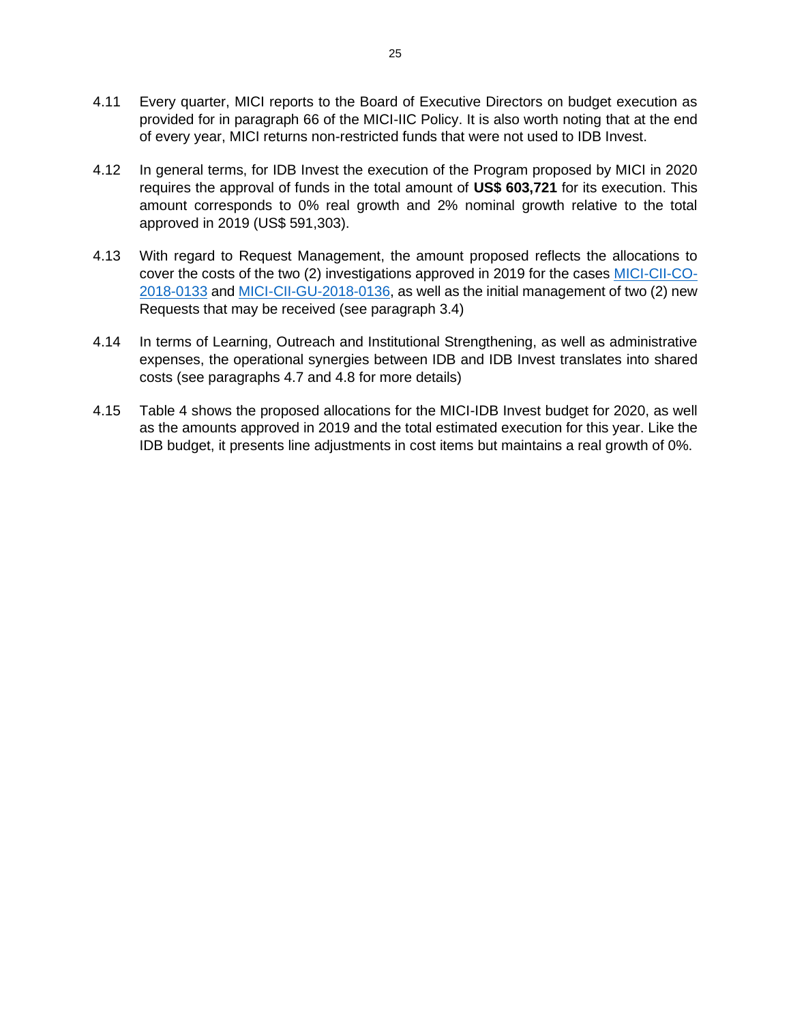- 4.11 Every quarter, MICI reports to the Board of Executive Directors on budget execution as provided for in paragraph 66 of the MICI-IIC Policy. It is also worth noting that at the end of every year, MICI returns non-restricted funds that were not used to IDB Invest.
- 4.12 In general terms, for IDB Invest the execution of the Program proposed by MICI in 2020 requires the approval of funds in the total amount of **US\$ 603,721** for its execution. This amount corresponds to 0% real growth and 2% nominal growth relative to the total approved in 2019 (US\$ 591,303).
- 4.13 With regard to Request Management, the amount proposed reflects the allocations to cover the costs of the two (2) investigations approved in 2019 for the cases [MICI-CII-CO-](https://www.iadb.org/en/mici/request-detail-iic?ID=MICI-CII-CO-2018-0133&nid=23506)[2018-0133](https://www.iadb.org/en/mici/request-detail-iic?ID=MICI-CII-CO-2018-0133&nid=23506) and [MICI-CII-GU-2018-0136,](https://www.iadb.org/en/mici/request-detail-iic?ID=MICI-CII-GU-2018-0136&nid=23508) as well as the initial management of two (2) new Requests that may be received (see paragraph 3.4)
- 4.14 In terms of Learning, Outreach and Institutional Strengthening, as well as administrative expenses, the operational synergies between IDB and IDB Invest translates into shared costs (see paragraphs 4.7 and 4.8 for more details)
- 4.15 Table 4 shows the proposed allocations for the MICI-IDB Invest budget for 2020, as well as the amounts approved in 2019 and the total estimated execution for this year. Like the IDB budget, it presents line adjustments in cost items but maintains a real growth of 0%.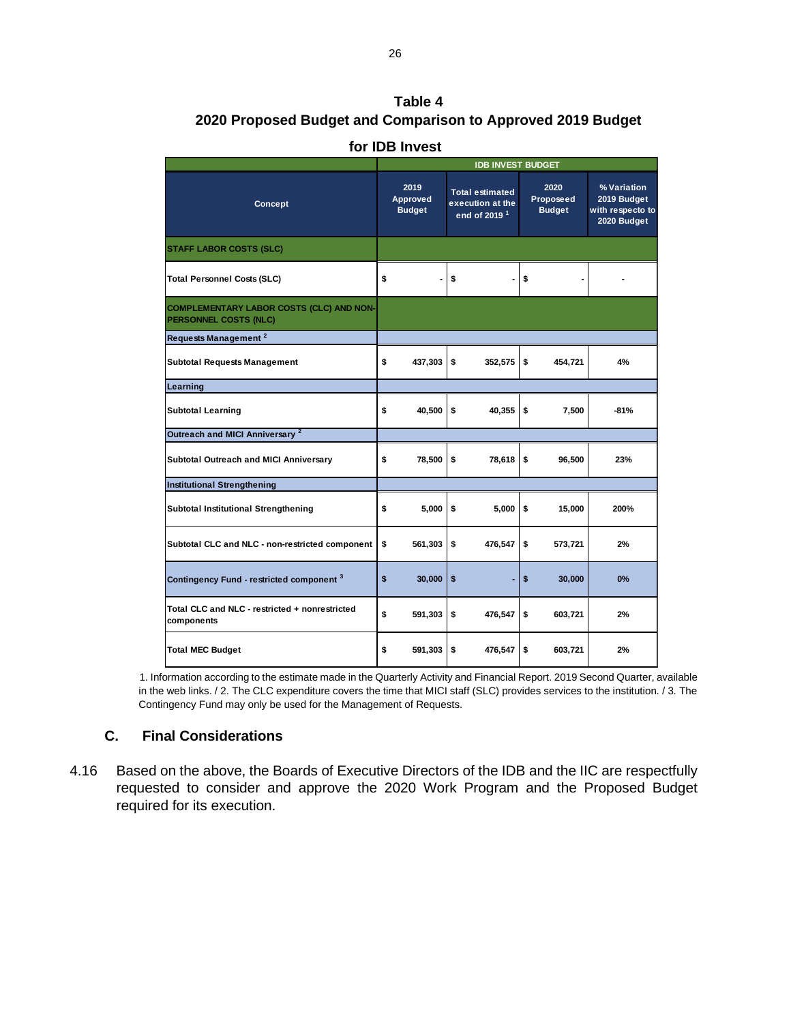## **Table 4 2020 Proposed Budget and Comparison to Approved 2019 Budget**

|                                                                                 | <b>IDB INVEST BUDGET</b>          |         |                                                                        |         |                                    |         |                                                               |
|---------------------------------------------------------------------------------|-----------------------------------|---------|------------------------------------------------------------------------|---------|------------------------------------|---------|---------------------------------------------------------------|
| Concept                                                                         | 2019<br>Approved<br><b>Budget</b> |         | <b>Total estimated</b><br>execution at the<br>end of 2019 <sup>1</sup> |         | 2020<br>Proposeed<br><b>Budget</b> |         | % Variation<br>2019 Budget<br>with respecto to<br>2020 Budget |
| <b>STAFF LABOR COSTS (SLC)</b>                                                  |                                   |         |                                                                        |         |                                    |         |                                                               |
| <b>Total Personnel Costs (SLC)</b>                                              | \$                                |         | \$                                                                     |         | \$                                 |         |                                                               |
| <b>COMPLEMENTARY LABOR COSTS (CLC) AND NON-</b><br><b>PERSONNEL COSTS (NLC)</b> |                                   |         |                                                                        |         |                                    |         |                                                               |
| Requests Management <sup>2</sup>                                                |                                   |         |                                                                        |         |                                    |         |                                                               |
| Subtotal Requests Management                                                    | \$                                | 437,303 | \$                                                                     | 352,575 | \$                                 | 454,721 | 4%                                                            |
| Learning                                                                        |                                   |         |                                                                        |         |                                    |         |                                                               |
| <b>Subtotal Learning</b>                                                        | \$                                | 40,500  | \$                                                                     | 40,355  | \$                                 | 7,500   | $-81%$                                                        |
| Outreach and MICI Anniversary <sup>2</sup>                                      |                                   |         |                                                                        |         |                                    |         |                                                               |
| <b>Subtotal Outreach and MICI Anniversary</b>                                   | \$                                | 78,500  | \$                                                                     | 78,618  | \$                                 | 96,500  | 23%                                                           |
| <b>Institutional Strengthening</b>                                              |                                   |         |                                                                        |         |                                    |         |                                                               |
| <b>Subtotal Institutional Strengthening</b>                                     | \$                                | 5,000   | \$                                                                     | 5,000   | \$                                 | 15,000  | 200%                                                          |
| Subtotal CLC and NLC - non-restricted component                                 | \$                                | 561,303 | \$                                                                     | 476,547 | \$                                 | 573,721 | 2%                                                            |
| Contingency Fund - restricted component 3                                       | \$                                | 30,000  | \$                                                                     |         | \$                                 | 30,000  | 0%                                                            |
| Total CLC and NLC - restricted + nonrestricted<br>components                    | \$                                | 591,303 | \$                                                                     | 476,547 | \$                                 | 603,721 | 2%                                                            |
| <b>Total MEC Budget</b>                                                         | \$                                | 591,303 | \$                                                                     | 476,547 | \$                                 | 603.721 | 2%                                                            |

#### **for IDB Invest**

1. Information according to the estimate made in the Quarterly Activity and Financial Report. 2019 Second Quarter, available in the web links. / 2. The CLC expenditure covers the time that MICI staff (SLC) provides services to the institution. / 3. The Contingency Fund may only be used for the Management of Requests.

## <span id="page-26-0"></span>**C. Final Considerations**

4.16 Based on the above, the Boards of Executive Directors of the IDB and the IIC are respectfully requested to consider and approve the 2020 Work Program and the Proposed Budget required for its execution.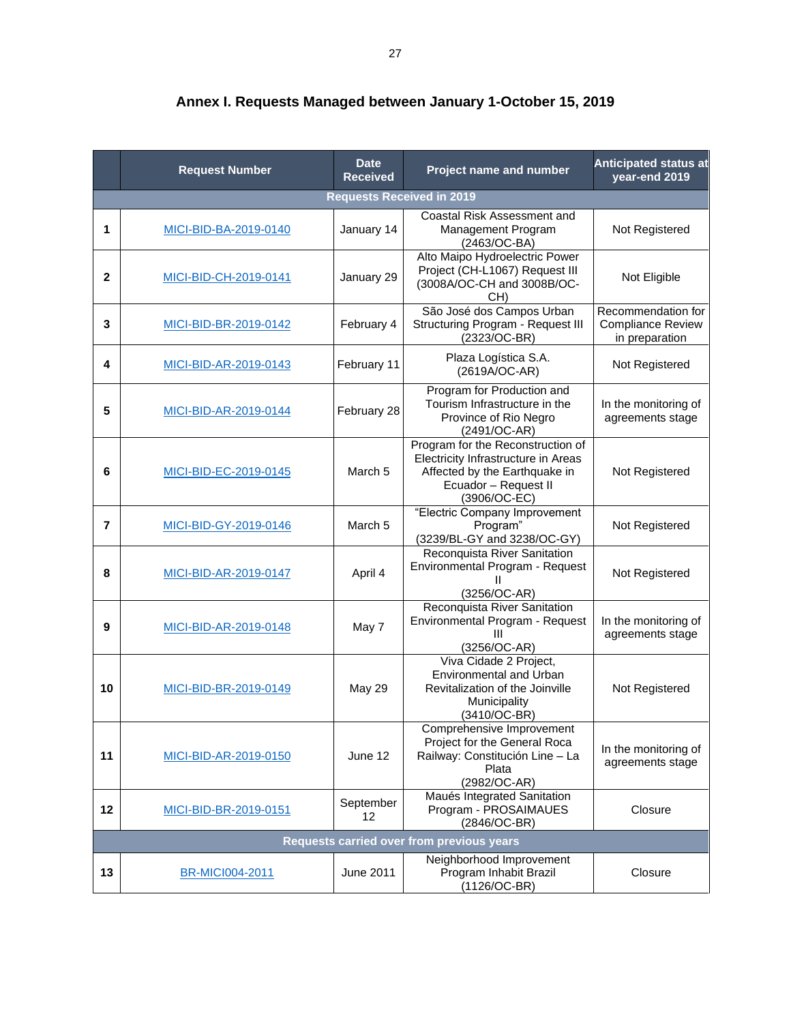|                | <b>Request Number</b>            | Project name and number | <b>Anticipated status at</b><br>year-end 2019                                                                                                     |                                                                  |  |  |  |  |  |  |  |
|----------------|----------------------------------|-------------------------|---------------------------------------------------------------------------------------------------------------------------------------------------|------------------------------------------------------------------|--|--|--|--|--|--|--|
|                | <b>Requests Received in 2019</b> |                         |                                                                                                                                                   |                                                                  |  |  |  |  |  |  |  |
| 1              | MICI-BID-BA-2019-0140            | January 14              | Coastal Risk Assessment and<br>Management Program<br>(2463/OC-BA)                                                                                 | Not Registered                                                   |  |  |  |  |  |  |  |
| $\mathbf{2}$   | MICI-BID-CH-2019-0141            | January 29              | Alto Maipo Hydroelectric Power<br>Project (CH-L1067) Request III<br>(3008A/OC-CH and 3008B/OC-<br>CH)                                             | Not Eligible                                                     |  |  |  |  |  |  |  |
| 3              | MICI-BID-BR-2019-0142            | February 4              | São José dos Campos Urban<br>Structuring Program - Request III<br>$(2323/OC-BR)$                                                                  | Recommendation for<br><b>Compliance Review</b><br>in preparation |  |  |  |  |  |  |  |
| 4              | MICI-BID-AR-2019-0143            | February 11             | Plaza Logística S.A.<br>(2619A/OC-AR)                                                                                                             | Not Registered                                                   |  |  |  |  |  |  |  |
| 5              | MICI-BID-AR-2019-0144            | February 28             | Program for Production and<br>Tourism Infrastructure in the<br>Province of Rio Negro<br>(2491/OC-AR)                                              | In the monitoring of<br>agreements stage                         |  |  |  |  |  |  |  |
| 6              | MICI-BID-EC-2019-0145            | March <sub>5</sub>      | Program for the Reconstruction of<br>Electricity Infrastructure in Areas<br>Affected by the Earthquake in<br>Ecuador - Request II<br>(3906/OC-EC) | Not Registered                                                   |  |  |  |  |  |  |  |
| $\overline{7}$ | MICI-BID-GY-2019-0146            | March 5                 | "Electric Company Improvement<br>Program"<br>(3239/BL-GY and 3238/OC-GY)                                                                          | Not Registered                                                   |  |  |  |  |  |  |  |
| 8              | MICI-BID-AR-2019-0147            | April 4                 | Reconquista River Sanitation<br>Environmental Program - Request<br>(3256/OC-AR)                                                                   | Not Registered                                                   |  |  |  |  |  |  |  |
| 9              | MICI-BID-AR-2019-0148            | May 7                   | Reconquista River Sanitation<br>Environmental Program - Request<br>Ш<br>(3256/OC-AR)                                                              | In the monitoring of<br>agreements stage                         |  |  |  |  |  |  |  |
| 10             | MICI-BID-BR-2019-0149            | <b>May 29</b>           | Viva Cidade 2 Project,<br>Environmental and Urban<br>Revitalization of the Joinville<br>Municipality<br>(3410/OC-BR)                              | Not Registered                                                   |  |  |  |  |  |  |  |
| 11             | MICI-BID-AR-2019-0150            | June 12                 | Comprehensive Improvement<br>Project for the General Roca<br>Railway: Constitución Line - La<br>Plata<br>(2982/OC-AR)                             | In the monitoring of<br>agreements stage                         |  |  |  |  |  |  |  |
| 12             | MICI-BID-BR-2019-0151            | September<br>12         | Maués Integrated Sanitation<br>Program - PROSAIMAUES<br>(2846/OC-BR)                                                                              | Closure                                                          |  |  |  |  |  |  |  |
|                |                                  |                         | <b>Requests carried over from previous years</b>                                                                                                  |                                                                  |  |  |  |  |  |  |  |
| 13             | <b>BR-MICI004-2011</b>           | June 2011               | Neighborhood Improvement<br>Program Inhabit Brazil<br>(1126/OC-BR)                                                                                | Closure                                                          |  |  |  |  |  |  |  |

**Annex I. Requests Managed between January 1-October 15, 2019**